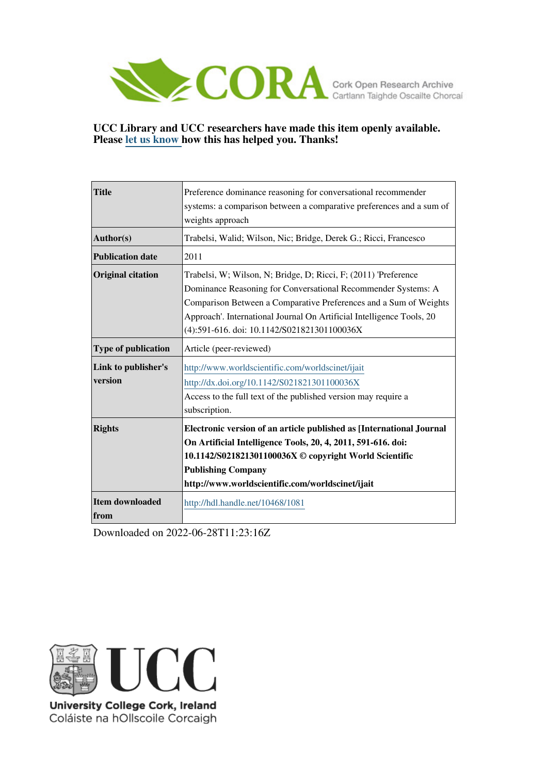

# **UCC Library and UCC researchers have made this item openly available. Please [let us know h](https://libguides.ucc.ie/openaccess/impact?suffix=1081&title=Preference dominance reasoning for conversational recommender systems: a comparison between a comparative preferences and a sum of weights approach)ow this has helped you. Thanks!**

| <b>Title</b>             | Preference dominance reasoning for conversational recommender         |  |  |  |
|--------------------------|-----------------------------------------------------------------------|--|--|--|
|                          | systems: a comparison between a comparative preferences and a sum of  |  |  |  |
|                          | weights approach                                                      |  |  |  |
| Author(s)                | Trabelsi, Walid; Wilson, Nic; Bridge, Derek G.; Ricci, Francesco      |  |  |  |
| <b>Publication date</b>  | 2011                                                                  |  |  |  |
| <b>Original citation</b> | Trabelsi, W; Wilson, N; Bridge, D; Ricci, F; (2011) 'Preference       |  |  |  |
|                          | Dominance Reasoning for Conversational Recommender Systems: A         |  |  |  |
|                          | Comparison Between a Comparative Preferences and a Sum of Weights     |  |  |  |
|                          | Approach'. International Journal On Artificial Intelligence Tools, 20 |  |  |  |
|                          | (4):591-616. doi: 10.1142/S021821301100036X                           |  |  |  |
| Type of publication      | Article (peer-reviewed)                                               |  |  |  |
| Link to publisher's      | http://www.worldscientific.com/worldscinet/ijait                      |  |  |  |
| version                  | http://dx.doi.org/10.1142/S021821301100036X                           |  |  |  |
|                          | Access to the full text of the published version may require a        |  |  |  |
|                          | subscription.                                                         |  |  |  |
| <b>Rights</b>            | Electronic version of an article published as [International Journal  |  |  |  |
|                          | On Artificial Intelligence Tools, 20, 4, 2011, 591-616. doi:          |  |  |  |
|                          | 10.1142/S021821301100036X © copyright World Scientific                |  |  |  |
|                          | <b>Publishing Company</b>                                             |  |  |  |
|                          | http://www.worldscientific.com/worldscinet/ijait                      |  |  |  |
| Item downloaded          | http://hdl.handle.net/10468/1081                                      |  |  |  |
| from                     |                                                                       |  |  |  |

Downloaded on 2022-06-28T11:23:16Z



University College Cork, Ireland Coláiste na hOllscoile Corcaigh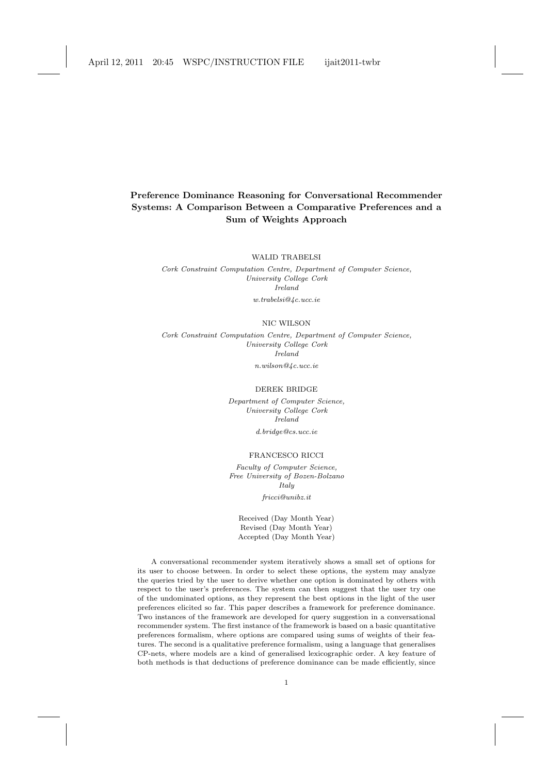# Preference Dominance Reasoning for Conversational Recommender Systems: A Comparison Between a Comparative Preferences and a Sum of Weights Approach

WALID TRABELSI

Cork Constraint Computation Centre, Department of Computer Science, University College Cork Ireland w.trabelsi@4c.ucc.ie

#### NIC WILSON

Cork Constraint Computation Centre, Department of Computer Science, University College Cork Ireland n.wilson@4c.ucc.ie

DEREK BRIDGE

Department of Computer Science, University College Cork Ireland

d.bridge@cs.ucc.ie

### FRANCESCO RICCI

Faculty of Computer Science, Free University of Bozen-Bolzano **Italy** fricci@unibz.it

Received (Day Month Year) Revised (Day Month Year) Accepted (Day Month Year)

A conversational recommender system iteratively shows a small set of options for its user to choose between. In order to select these options, the system may analyze the queries tried by the user to derive whether one option is dominated by others with respect to the user's preferences. The system can then suggest that the user try one of the undominated options, as they represent the best options in the light of the user preferences elicited so far. This paper describes a framework for preference dominance. Two instances of the framework are developed for query suggestion in a conversational recommender system. The first instance of the framework is based on a basic quantitative preferences formalism, where options are compared using sums of weights of their features. The second is a qualitative preference formalism, using a language that generalises CP-nets, where models are a kind of generalised lexicographic order. A key feature of both methods is that deductions of preference dominance can be made efficiently, since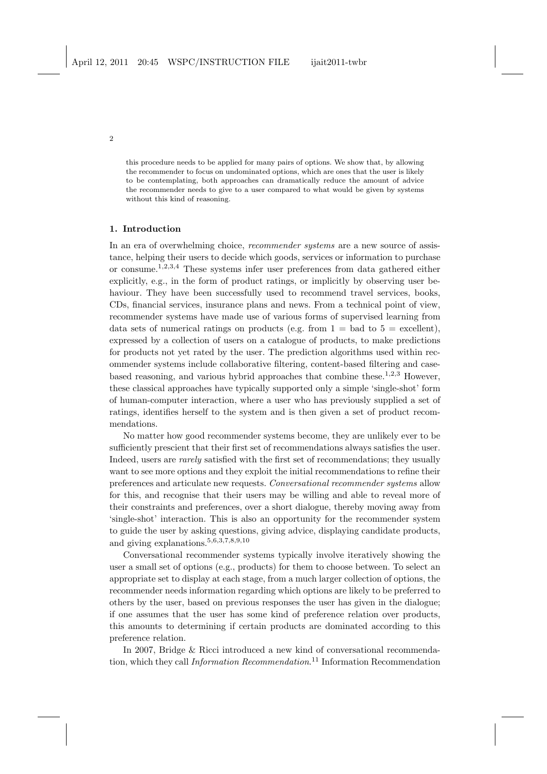this procedure needs to be applied for many pairs of options. We show that, by allowing the recommender to focus on undominated options, which are ones that the user is likely to be contemplating, both approaches can dramatically reduce the amount of advice the recommender needs to give to a user compared to what would be given by systems without this kind of reasoning.

### 1. Introduction

In an era of overwhelming choice, *recommender systems* are a new source of assistance, helping their users to decide which goods, services or information to purchase or consume.<sup>1</sup>,2,3,<sup>4</sup> These systems infer user preferences from data gathered either explicitly, e.g., in the form of product ratings, or implicitly by observing user behaviour. They have been successfully used to recommend travel services, books, CDs, financial services, insurance plans and news. From a technical point of view, recommender systems have made use of various forms of supervised learning from data sets of numerical ratings on products (e.g. from  $1 =$  bad to  $5 =$  excellent), expressed by a collection of users on a catalogue of products, to make predictions for products not yet rated by the user. The prediction algorithms used within recommender systems include collaborative filtering, content-based filtering and casebased reasoning, and various hybrid approaches that combine these.<sup>1,2,3</sup> However, these classical approaches have typically supported only a simple 'single-shot' form of human-computer interaction, where a user who has previously supplied a set of ratings, identifies herself to the system and is then given a set of product recommendations.

No matter how good recommender systems become, they are unlikely ever to be sufficiently prescient that their first set of recommendations always satisfies the user. Indeed, users are rarely satisfied with the first set of recommendations; they usually want to see more options and they exploit the initial recommendations to refine their preferences and articulate new requests. Conversational recommender systems allow for this, and recognise that their users may be willing and able to reveal more of their constraints and preferences, over a short dialogue, thereby moving away from 'single-shot' interaction. This is also an opportunity for the recommender system to guide the user by asking questions, giving advice, displaying candidate products, and giving explanations.<sup>5</sup>,6,3,7,8,9,<sup>10</sup>

Conversational recommender systems typically involve iteratively showing the user a small set of options (e.g., products) for them to choose between. To select an appropriate set to display at each stage, from a much larger collection of options, the recommender needs information regarding which options are likely to be preferred to others by the user, based on previous responses the user has given in the dialogue; if one assumes that the user has some kind of preference relation over products, this amounts to determining if certain products are dominated according to this preference relation.

In 2007, Bridge & Ricci introduced a new kind of conversational recommendation, which they call *Information Recommendation*.<sup>11</sup> Information Recommendation

2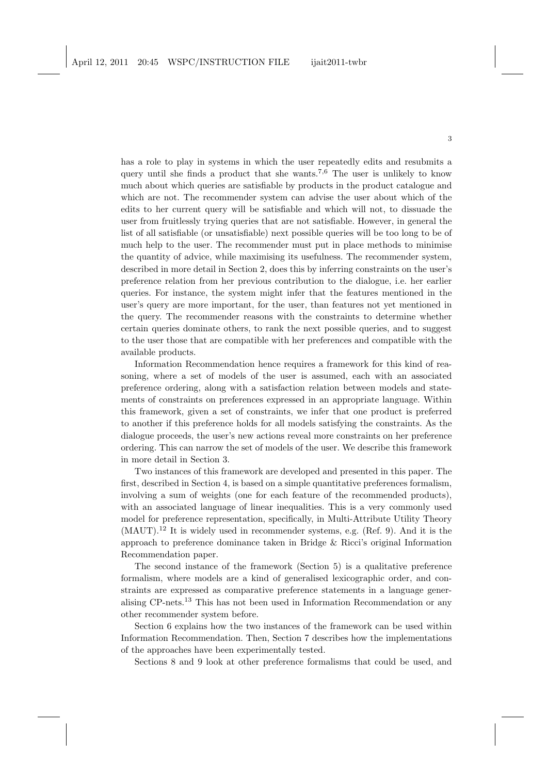has a role to play in systems in which the user repeatedly edits and resubmits a query until she finds a product that she wants.<sup>7,6</sup> The user is unlikely to know much about which queries are satisfiable by products in the product catalogue and which are not. The recommender system can advise the user about which of the edits to her current query will be satisfiable and which will not, to dissuade the user from fruitlessly trying queries that are not satisfiable. However, in general the list of all satisfiable (or unsatisfiable) next possible queries will be too long to be of much help to the user. The recommender must put in place methods to minimise the quantity of advice, while maximising its usefulness. The recommender system, described in more detail in Section 2, does this by inferring constraints on the user's preference relation from her previous contribution to the dialogue, i.e. her earlier queries. For instance, the system might infer that the features mentioned in the user's query are more important, for the user, than features not yet mentioned in the query. The recommender reasons with the constraints to determine whether certain queries dominate others, to rank the next possible queries, and to suggest to the user those that are compatible with her preferences and compatible with the available products.

Information Recommendation hence requires a framework for this kind of reasoning, where a set of models of the user is assumed, each with an associated preference ordering, along with a satisfaction relation between models and statements of constraints on preferences expressed in an appropriate language. Within this framework, given a set of constraints, we infer that one product is preferred to another if this preference holds for all models satisfying the constraints. As the dialogue proceeds, the user's new actions reveal more constraints on her preference ordering. This can narrow the set of models of the user. We describe this framework in more detail in Section 3.

Two instances of this framework are developed and presented in this paper. The first, described in Section 4, is based on a simple quantitative preferences formalism, involving a sum of weights (one for each feature of the recommended products), with an associated language of linear inequalities. This is a very commonly used model for preference representation, specifically, in Multi-Attribute Utility Theory (MAUT).<sup>12</sup> It is widely used in recommender systems, e.g. (Ref. 9). And it is the approach to preference dominance taken in Bridge & Ricci's original Information Recommendation paper.

The second instance of the framework (Section 5) is a qualitative preference formalism, where models are a kind of generalised lexicographic order, and constraints are expressed as comparative preference statements in a language generalising CP-nets.<sup>13</sup> This has not been used in Information Recommendation or any other recommender system before.

Section 6 explains how the two instances of the framework can be used within Information Recommendation. Then, Section 7 describes how the implementations of the approaches have been experimentally tested.

Sections 8 and 9 look at other preference formalisms that could be used, and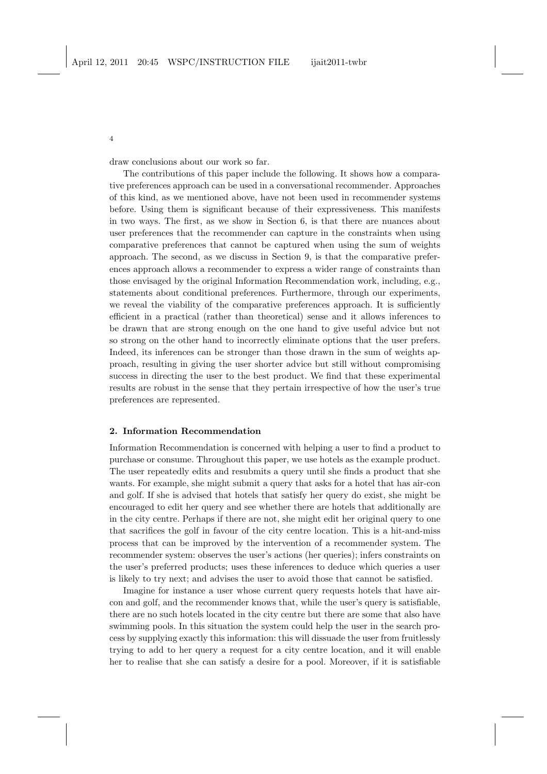draw conclusions about our work so far.

4

The contributions of this paper include the following. It shows how a comparative preferences approach can be used in a conversational recommender. Approaches of this kind, as we mentioned above, have not been used in recommender systems before. Using them is significant because of their expressiveness. This manifests in two ways. The first, as we show in Section 6, is that there are nuances about user preferences that the recommender can capture in the constraints when using comparative preferences that cannot be captured when using the sum of weights approach. The second, as we discuss in Section 9, is that the comparative preferences approach allows a recommender to express a wider range of constraints than those envisaged by the original Information Recommendation work, including, e.g., statements about conditional preferences. Furthermore, through our experiments, we reveal the viability of the comparative preferences approach. It is sufficiently efficient in a practical (rather than theoretical) sense and it allows inferences to be drawn that are strong enough on the one hand to give useful advice but not so strong on the other hand to incorrectly eliminate options that the user prefers. Indeed, its inferences can be stronger than those drawn in the sum of weights approach, resulting in giving the user shorter advice but still without compromising success in directing the user to the best product. We find that these experimental results are robust in the sense that they pertain irrespective of how the user's true preferences are represented.

### 2. Information Recommendation

Information Recommendation is concerned with helping a user to find a product to purchase or consume. Throughout this paper, we use hotels as the example product. The user repeatedly edits and resubmits a query until she finds a product that she wants. For example, she might submit a query that asks for a hotel that has air-con and golf. If she is advised that hotels that satisfy her query do exist, she might be encouraged to edit her query and see whether there are hotels that additionally are in the city centre. Perhaps if there are not, she might edit her original query to one that sacrifices the golf in favour of the city centre location. This is a hit-and-miss process that can be improved by the intervention of a recommender system. The recommender system: observes the user's actions (her queries); infers constraints on the user's preferred products; uses these inferences to deduce which queries a user is likely to try next; and advises the user to avoid those that cannot be satisfied.

Imagine for instance a user whose current query requests hotels that have aircon and golf, and the recommender knows that, while the user's query is satisfiable, there are no such hotels located in the city centre but there are some that also have swimming pools. In this situation the system could help the user in the search process by supplying exactly this information: this will dissuade the user from fruitlessly trying to add to her query a request for a city centre location, and it will enable her to realise that she can satisfy a desire for a pool. Moreover, if it is satisfiable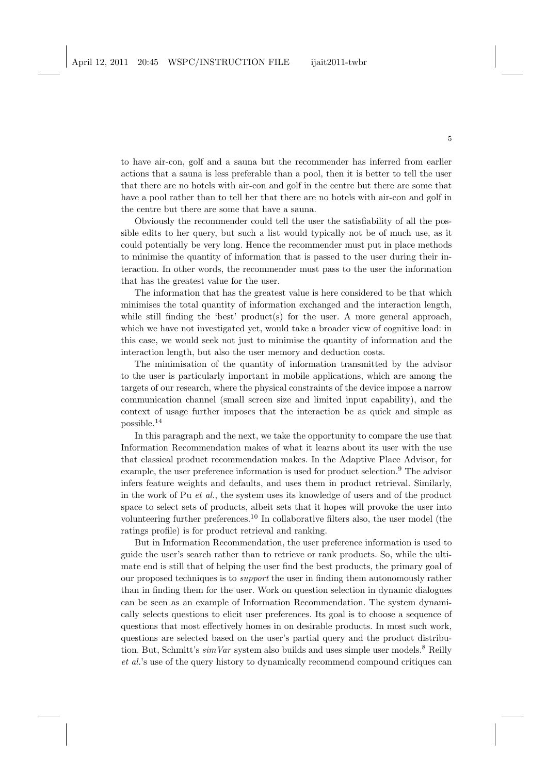to have air-con, golf and a sauna but the recommender has inferred from earlier actions that a sauna is less preferable than a pool, then it is better to tell the user that there are no hotels with air-con and golf in the centre but there are some that have a pool rather than to tell her that there are no hotels with air-con and golf in the centre but there are some that have a sauna.

Obviously the recommender could tell the user the satisfiability of all the possible edits to her query, but such a list would typically not be of much use, as it could potentially be very long. Hence the recommender must put in place methods to minimise the quantity of information that is passed to the user during their interaction. In other words, the recommender must pass to the user the information that has the greatest value for the user.

The information that has the greatest value is here considered to be that which minimises the total quantity of information exchanged and the interaction length, while still finding the 'best' product(s) for the user. A more general approach, which we have not investigated yet, would take a broader view of cognitive load: in this case, we would seek not just to minimise the quantity of information and the interaction length, but also the user memory and deduction costs.

The minimisation of the quantity of information transmitted by the advisor to the user is particularly important in mobile applications, which are among the targets of our research, where the physical constraints of the device impose a narrow communication channel (small screen size and limited input capability), and the context of usage further imposes that the interaction be as quick and simple as possible.<sup>14</sup>

In this paragraph and the next, we take the opportunity to compare the use that Information Recommendation makes of what it learns about its user with the use that classical product recommendation makes. In the Adaptive Place Advisor, for example, the user preference information is used for product selection.<sup>9</sup> The advisor infers feature weights and defaults, and uses them in product retrieval. Similarly, in the work of Pu et al., the system uses its knowledge of users and of the product space to select sets of products, albeit sets that it hopes will provoke the user into volunteering further preferences.<sup>10</sup> In collaborative filters also, the user model (the ratings profile) is for product retrieval and ranking.

But in Information Recommendation, the user preference information is used to guide the user's search rather than to retrieve or rank products. So, while the ultimate end is still that of helping the user find the best products, the primary goal of our proposed techniques is to support the user in finding them autonomously rather than in finding them for the user. Work on question selection in dynamic dialogues can be seen as an example of Information Recommendation. The system dynamically selects questions to elicit user preferences. Its goal is to choose a sequence of questions that most effectively homes in on desirable products. In most such work, questions are selected based on the user's partial query and the product distribution. But, Schmitt's  $\sin Var$  system also builds and uses simple user models.<sup>8</sup> Reilly et al.'s use of the query history to dynamically recommend compound critiques can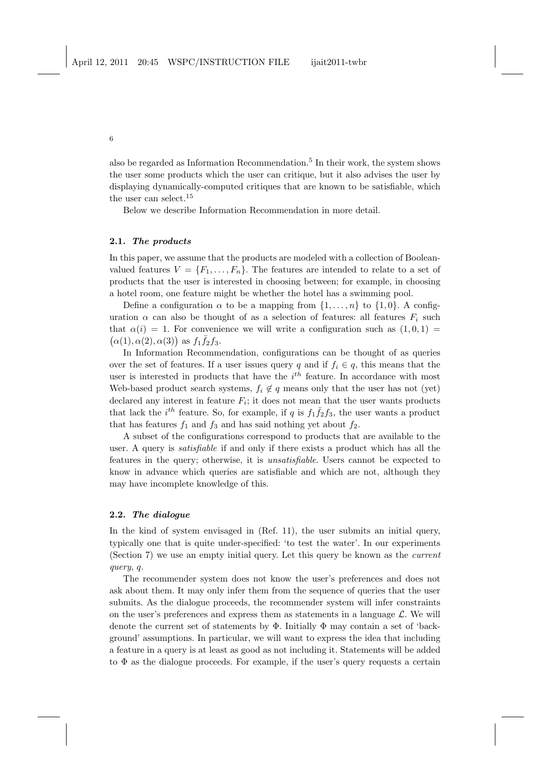also be regarded as Information Recommendation.<sup>5</sup> In their work, the system shows the user some products which the user can critique, but it also advises the user by displaying dynamically-computed critiques that are known to be satisfiable, which the user can select.<sup>15</sup>

Below we describe Information Recommendation in more detail.

#### 2.1. The products

In this paper, we assume that the products are modeled with a collection of Booleanvalued features  $V = \{F_1, \ldots, F_n\}$ . The features are intended to relate to a set of products that the user is interested in choosing between; for example, in choosing a hotel room, one feature might be whether the hotel has a swimming pool.

Define a configuration  $\alpha$  to be a mapping from  $\{1, \ldots, n\}$  to  $\{1, 0\}$ . A configuration  $\alpha$  can also be thought of as a selection of features: all features  $F_i$  such that  $\alpha(i) = 1$ . For convenience we will write a configuration such as  $(1, 0, 1) = (1, 0, 1)$ mat  $\alpha(i) = 1$ . For convening<br>  $\alpha(1), \alpha(2), \alpha(3)$  as  $f_1 \bar{f}_2 f_3$ .

In Information Recommendation, configurations can be thought of as queries over the set of features. If a user issues query q and if  $f_i \in q$ , this means that the user is interested in products that have the  $i^{th}$  feature. In accordance with most Web-based product search systems,  $f_i \notin q$  means only that the user has not (yet) declared any interest in feature  $F_i$ ; it does not mean that the user wants products that lack the  $i^{th}$  feature. So, for example, if q is  $f_1 \bar{f}_2 f_3$ , the user wants a product that has features  $f_1$  and  $f_3$  and has said nothing yet about  $f_2$ .

A subset of the configurations correspond to products that are available to the user. A query is *satisfiable* if and only if there exists a product which has all the features in the query; otherwise, it is unsatisfiable. Users cannot be expected to know in advance which queries are satisfiable and which are not, although they may have incomplete knowledge of this.

### 2.2. The dialogue

In the kind of system envisaged in (Ref. 11), the user submits an initial query, typically one that is quite under-specified: 'to test the water'. In our experiments (Section 7) we use an empty initial query. Let this query be known as the current query, q.

The recommender system does not know the user's preferences and does not ask about them. It may only infer them from the sequence of queries that the user submits. As the dialogue proceeds, the recommender system will infer constraints on the user's preferences and express them as statements in a language  $\mathcal{L}$ . We will denote the current set of statements by  $\Phi$ . Initially  $\Phi$  may contain a set of 'background' assumptions. In particular, we will want to express the idea that including a feature in a query is at least as good as not including it. Statements will be added to  $\Phi$  as the dialogue proceeds. For example, if the user's query requests a certain

#### 6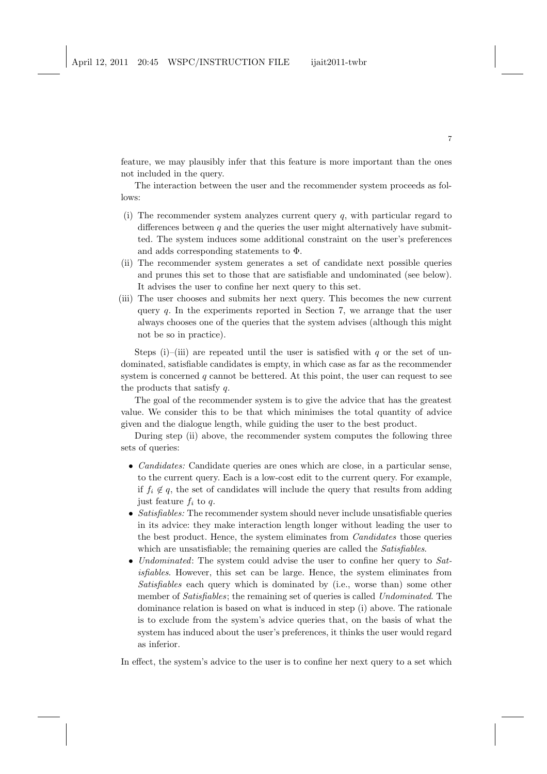feature, we may plausibly infer that this feature is more important than the ones not included in the query.

The interaction between the user and the recommender system proceeds as follows:

- (i) The recommender system analyzes current query  $q$ , with particular regard to differences between  $q$  and the queries the user might alternatively have submitted. The system induces some additional constraint on the user's preferences and adds corresponding statements to Φ.
- (ii) The recommender system generates a set of candidate next possible queries and prunes this set to those that are satisfiable and undominated (see below). It advises the user to confine her next query to this set.
- (iii) The user chooses and submits her next query. This becomes the new current query  $q$ . In the experiments reported in Section 7, we arrange that the user always chooses one of the queries that the system advises (although this might not be so in practice).

Steps (i)–(iii) are repeated until the user is satisfied with q or the set of undominated, satisfiable candidates is empty, in which case as far as the recommender system is concerned  $q$  cannot be bettered. At this point, the user can request to see the products that satisfy  $q$ .

The goal of the recommender system is to give the advice that has the greatest value. We consider this to be that which minimises the total quantity of advice given and the dialogue length, while guiding the user to the best product.

During step (ii) above, the recommender system computes the following three sets of queries:

- *Candidates:* Candidate queries are ones which are close, in a particular sense, to the current query. Each is a low-cost edit to the current query. For example, if  $f_i \notin q$ , the set of candidates will include the query that results from adding just feature  $f_i$  to  $q$ .
- Satisfiables: The recommender system should never include unsatisfiable queries in its advice: they make interaction length longer without leading the user to the best product. Hence, the system eliminates from Candidates those queries which are unsatisfiable; the remaining queries are called the *Satisfiables*.
- Undominated: The system could advise the user to confine her query to  $Sat$ isfiables. However, this set can be large. Hence, the system eliminates from Satisfiables each query which is dominated by (i.e., worse than) some other member of *Satisfiables*; the remaining set of queries is called *Undominated*. The dominance relation is based on what is induced in step (i) above. The rationale is to exclude from the system's advice queries that, on the basis of what the system has induced about the user's preferences, it thinks the user would regard as inferior.

In effect, the system's advice to the user is to confine her next query to a set which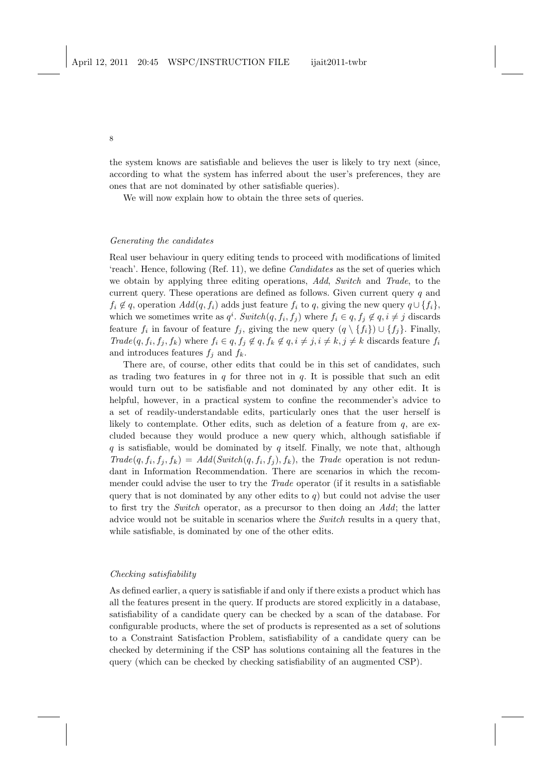the system knows are satisfiable and believes the user is likely to try next (since, according to what the system has inferred about the user's preferences, they are ones that are not dominated by other satisfiable queries).

We will now explain how to obtain the three sets of queries.

#### Generating the candidates

Real user behaviour in query editing tends to proceed with modifications of limited 'reach'. Hence, following (Ref. 11), we define Candidates as the set of queries which we obtain by applying three editing operations, Add, Switch and Trade, to the current query. These operations are defined as follows. Given current query  $q$  and  $f_i \notin q$ , operation  $Add(q, f_i)$  adds just feature  $f_i$  to q, giving the new query  $q \cup \{f_i\}$ , which we sometimes write as  $q^i$ . Switch $(q, f_i, f_j)$  where  $f_i \in q, f_j \notin q, i \neq j$  discards feature  $f_i$  in favour of feature  $f_j$ , giving the new query  $(q \setminus \{f_i\}) \cup \{f_j\}$ . Finally,  $Trade(q, f_i, f_j, f_k)$  where  $f_i \in q, f_j \notin q, f_k \notin q, i \neq j, i \neq k, j \neq k$  discards feature  $f_i$ and introduces features  $f_i$  and  $f_k$ .

There are, of course, other edits that could be in this set of candidates, such as trading two features in  $q$  for three not in  $q$ . It is possible that such an edit would turn out to be satisfiable and not dominated by any other edit. It is helpful, however, in a practical system to confine the recommender's advice to a set of readily-understandable edits, particularly ones that the user herself is likely to contemplate. Other edits, such as deletion of a feature from  $q$ , are excluded because they would produce a new query which, although satisfiable if q is satisfiable, would be dominated by q itself. Finally, we note that, although  $Trade(q, f_i, f_j, f_k) = Add(Swith(q, f_i, f_j), f_k)$ , the Trade operation is not redundant in Information Recommendation. There are scenarios in which the recommender could advise the user to try the *Trade* operator (if it results in a satisfiable query that is not dominated by any other edits to q) but could not advise the user to first try the Switch operator, as a precursor to then doing an Add; the latter advice would not be suitable in scenarios where the Switch results in a query that, while satisfiable, is dominated by one of the other edits.

#### Checking satisfiability

As defined earlier, a query is satisfiable if and only if there exists a product which has all the features present in the query. If products are stored explicitly in a database, satisfiability of a candidate query can be checked by a scan of the database. For configurable products, where the set of products is represented as a set of solutions to a Constraint Satisfaction Problem, satisfiability of a candidate query can be checked by determining if the CSP has solutions containing all the features in the query (which can be checked by checking satisfiability of an augmented CSP).

8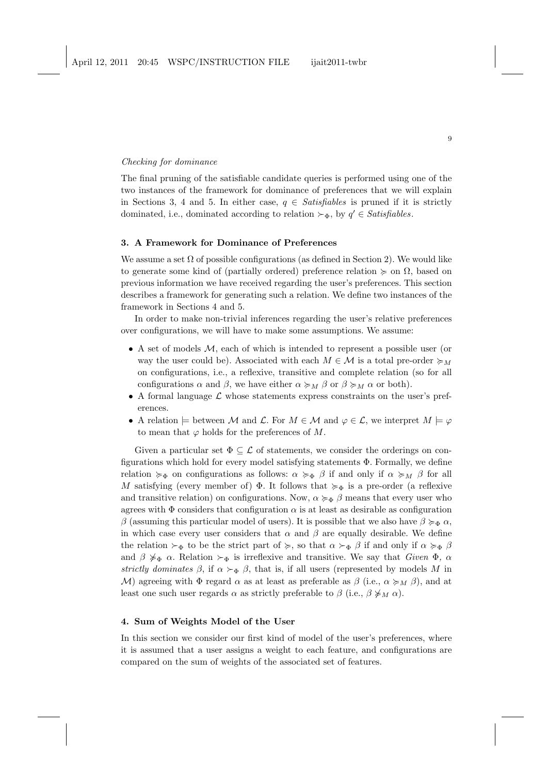### Checking for dominance

The final pruning of the satisfiable candidate queries is performed using one of the two instances of the framework for dominance of preferences that we will explain in Sections 3, 4 and 5. In either case,  $q \in Satisfiable s$  is pruned if it is strictly dominated, i.e., dominated according to relation  $\succ_{\Phi}$ , by  $q' \in Satisfiable s$ .

### 3. A Framework for Dominance of Preferences

We assume a set  $\Omega$  of possible configurations (as defined in Section 2). We would like to generate some kind of (partially ordered) preference relation  $\succeq$  on  $\Omega$ , based on previous information we have received regarding the user's preferences. This section describes a framework for generating such a relation. We define two instances of the framework in Sections 4 and 5.

In order to make non-trivial inferences regarding the user's relative preferences over configurations, we will have to make some assumptions. We assume:

- $\bullet$  A set of models  $\mathcal{M}$ , each of which is intended to represent a possible user (or way the user could be). Associated with each  $M \in \mathcal{M}$  is a total pre-order  $\succcurlyeq_M$ on configurations, i.e., a reflexive, transitive and complete relation (so for all configurations  $\alpha$  and  $\beta$ , we have either  $\alpha \succcurlyeq_M \beta$  or  $\beta \succcurlyeq_M \alpha$  or both).
- A formal language  $\mathcal L$  whose statements express constraints on the user's preferences.
- A relation  $\models$  between M and  $\mathcal{L}$ . For  $M \in \mathcal{M}$  and  $\varphi \in \mathcal{L}$ , we interpret  $M \models \varphi$ to mean that  $\varphi$  holds for the preferences of  $M$ .

Given a particular set  $\Phi \subseteq \mathcal{L}$  of statements, we consider the orderings on configurations which hold for every model satisfying statements Φ. Formally, we define relation  $\succcurlyeq_{\Phi}$  on configurations as follows:  $\alpha \succcurlyeq_{\Phi} \beta$  if and only if  $\alpha \succcurlyeq_M \beta$  for all M satisfying (every member of)  $\Phi$ . It follows that  $\succcurlyeq_{\Phi}$  is a pre-order (a reflexive and transitive relation) on configurations. Now,  $\alpha \succcurlyeq_{\Phi} \beta$  means that every user who agrees with  $\Phi$  considers that configuration  $\alpha$  is at least as desirable as configuration β (assuming this particular model of users). It is possible that we also have  $\beta \succcurlyeq_{\Phi} \alpha$ , in which case every user considers that  $\alpha$  and  $\beta$  are equally desirable. We define the relation  $\succ_{\Phi}$  to be the strict part of  $\succcurlyeq$ , so that  $\alpha \succ_{\Phi} \beta$  if and only if  $\alpha \succ_{\Phi} \beta$ and  $\beta \neq_{\Phi} \alpha$ . Relation  $\succ_{\Phi}$  is irreflexive and transitive. We say that Given  $\Phi$ ,  $\alpha$ strictly dominates  $\beta$ , if  $\alpha \succ_{\Phi} \beta$ , that is, if all users (represented by models M in M) agreeing with  $\Phi$  regard  $\alpha$  as at least as preferable as  $\beta$  (i.e.,  $\alpha \succcurlyeq_M \beta$ ), and at least one such user regards  $\alpha$  as strictly preferable to  $\beta$  (i.e.,  $\beta \not\succ_{M} \alpha$ ).

### 4. Sum of Weights Model of the User

In this section we consider our first kind of model of the user's preferences, where it is assumed that a user assigns a weight to each feature, and configurations are compared on the sum of weights of the associated set of features.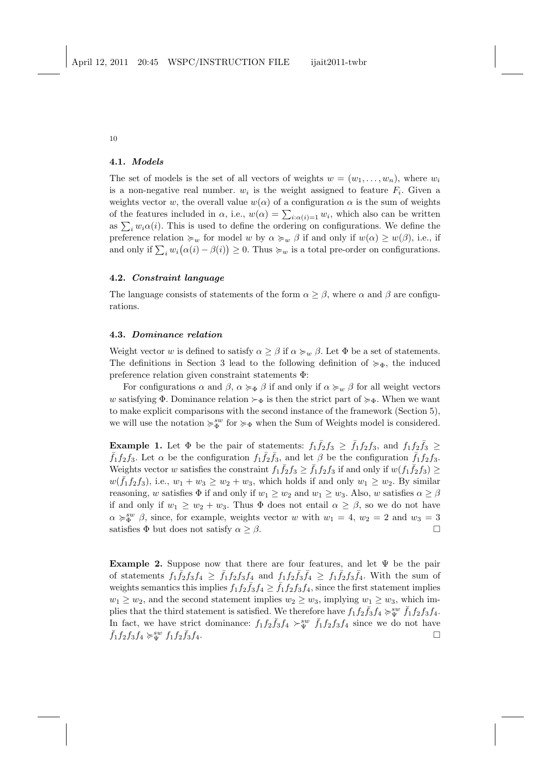### 4.1. Models

The set of models is the set of all vectors of weights  $w = (w_1, \ldots, w_n)$ , where  $w_i$ is a non-negative real number.  $w_i$  is the weight assigned to feature  $F_i$ . Given a weights vector w, the overall value  $w(\alpha)$  of a configuration  $\alpha$  is the sum of weights weights vector w, the overant value  $w(\alpha)$  or a comiguration  $\alpha$  is the sum of weights of the features included in  $\alpha$ , i.e.,  $w(\alpha) = \sum_{i:\alpha(i)=1} w_i$ , which also can be written as  $\sum_i w_i \alpha(i)$ . This is used to define the ordering on configurations. We define the preference relation  $\succcurlyeq_w$  for model w by  $\alpha \succcurlyeq_w \beta$  if and only if  $w(\alpha) \geq w(\beta)$ , i.e., if preference relation  $\mathcal{F}_w$  for moder w by  $\alpha \mathcal{F}_w$   $\rho$  in and omly if  $w(\alpha) \geq w(\rho)$ , i.e., in and only if  $\sum_i w_i(\alpha(i) - \beta(i)) \geq 0$ . Thus  $\succcurlyeq_w$  is a total pre-order on configurations.

### 4.2. Constraint language

The language consists of statements of the form  $\alpha \geq \beta$ , where  $\alpha$  and  $\beta$  are configurations.

### 4.3. Dominance relation

Weight vector w is defined to satisfy  $\alpha \geq \beta$  if  $\alpha \succcurlyeq_w \beta$ . Let  $\Phi$  be a set of statements. The definitions in Section 3 lead to the following definition of  $\succcurlyeq_{\Phi}$ , the induced preference relation given constraint statements Φ:

For configurations  $\alpha$  and  $\beta$ ,  $\alpha \succcurlyeq_{\Phi} \beta$  if and only if  $\alpha \succcurlyeq_w \beta$  for all weight vectors w satisfying  $\Phi$ . Dominance relation  $\succ_{\Phi}$  is then the strict part of  $\succcurlyeq_{\Phi}$ . When we want to make explicit comparisons with the second instance of the framework (Section 5), we will use the notation  $\succcurlyeq_{\Phi}^{\text{sw}}$  for  $\succcurlyeq_{\Phi}$  when the Sum of Weights model is considered.

**Example 1.** Let  $\Phi$  be the pair of statements:  $f_1 \bar{f}_2 f_3 \geq \bar{f}_1 f_2 f_3$ , and  $f_1 f_2 \bar{f}_3 \geq$  $\bar{f}_1 f_2 f_3$ . Let  $\alpha$  be the configuration  $f_1 \bar{f}_2 \bar{f}_3$ , and let  $\beta$  be the configuration  $\bar{f}_1 f_2 f_3$ . Weights vector w satisfies the constraint  $f_1 \bar{f}_2 f_3 \geq \bar{f}_1 f_2 f_3$  if and only if  $w(f_1 \bar{f}_2 f_3) \geq$  $w(\bar{f}_1f_2f_3)$ , i.e.,  $w_1 + w_3 \geq w_2 + w_3$ , which holds if and only  $w_1 \geq w_2$ . By similar reasoning, w satisfies  $\Phi$  if and only if  $w_1 \geq w_2$  and  $w_1 \geq w_3$ . Also, w satisfies  $\alpha \geq \beta$ if and only if  $w_1 \geq w_2 + w_3$ . Thus  $\Phi$  does not entail  $\alpha \geq \beta$ , so we do not have  $\alpha \succ_{\Phi}^{sw} \beta$ , since, for example, weights vector w with  $w_1 = 4$ ,  $w_2 = 2$  and  $w_3 = 3$ satisfies  $\Phi$  but does not satisfy  $\alpha \geq \beta$ .

**Example 2.** Suppose now that there are four features, and let  $\Psi$  be the pair of statements  $f_1 \bar{f}_2 f_3 f_4 \geq \bar{f}_1 f_2 f_3 f_4$  and  $f_1 f_2 \bar{f}_3 \bar{f}_4 \geq f_1 \bar{f}_2 f_3 \bar{f}_4$ . With the sum of weights semantics this implies  $f_1 f_2 \overline{f}_3 f_4 \geq \overline{f}_1 f_2 f_3 f_4$ , since the first statement implies  $w_1 \geq w_2$ , and the second statement implies  $w_2 \geq w_3$ , implying  $w_1 \geq w_3$ , which implies that the third statement is satisfied. We therefore have  $f_1f_2\bar{f}_3f_4 \succ^{\text{sw}}_{\Psi} \bar{f}_1f_2f_3f_4$ . In fact, we have strict dominance:  $f_1 f_2 \bar{f}_3 f_4 \succ^{\text{sw}}_{\Psi} \bar{f}_1 f_2 f_3 f_4$  since we do not have  $\bar{f}_1 f_2 f_3 f_4 \succcurlyeq_{\Psi}^{sw} f_1 f_2$  $\bar{f}_3f_4.$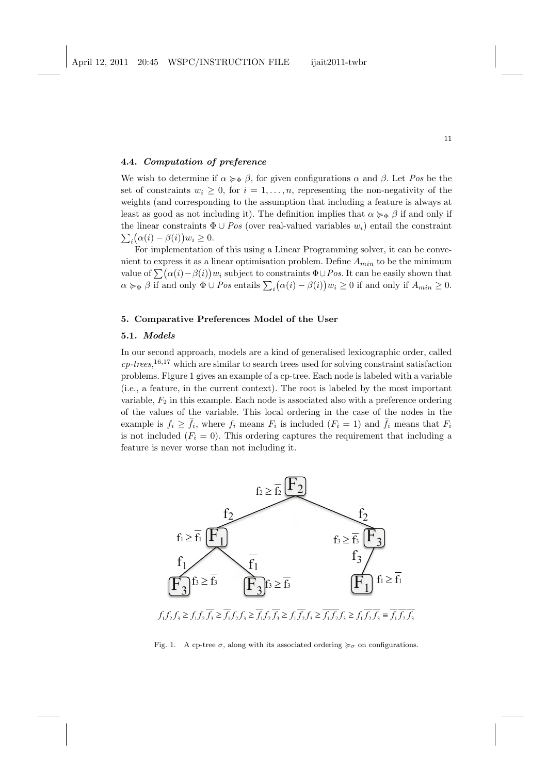### 4.4. Computation of preference

We wish to determine if  $\alpha \succcurlyeq_{\Phi} \beta$ , for given configurations  $\alpha$  and  $\beta$ . Let Pos be the set of constraints  $w_i \geq 0$ , for  $i = 1, \ldots, n$ , representing the non-negativity of the weights (and corresponding to the assumption that including a feature is always at least as good as not including it). The definition implies that  $\alpha \succcurlyeq_{\Phi} \beta$  if and only if the linear constraints  $\Phi \cup Pos$  (over real-valued variables  $w_i$ ) entail the constraint  $i(\alpha(i) - \beta(i))w_i \geq 0.$ 

For implementation of this using a Linear Programming solver, it can be convenient to express it as a linear optimisation problem. Define  $A_{min}$  to be the minimum where  $\alpha$  is a mean optimization problem. Denne  $A_{min}$  to be the minimum value of  $\sum (\alpha(i) - \beta(i))w_i$  subject to constraints  $\Phi \cup Pos$ . It can be easily shown that value of  $\sum (a(i) - \beta(i)) a_i$  subject to constraints  $\Phi \circ I$  os. It can be easily shown that  $\alpha \succcurlyeq_{\alpha} \beta$  if and only  $\Phi \cup Pos$  entails  $\sum_i (\alpha(i) - \beta(i)) w_i \geq 0$  if and only if  $A_{min} \geq 0$ .

### 5. Comparative Preferences Model of the User

### 5.1. Models

In our second approach, models are a kind of generalised lexicographic order, called  $cp\text{-}trees$ ,  $^{16,17}$  which are similar to search trees used for solving constraint satisfaction problems. Figure 1 gives an example of a cp-tree. Each node is labeled with a variable (i.e., a feature, in the current context). The root is labeled by the most important variable,  $F_2$  in this example. Each node is associated also with a preference ordering of the values of the variable. This local ordering in the case of the nodes in the example is  $f_i \geq \bar{f}_i$ , where  $f_i$  means  $F_i$  is included  $(F_i = 1)$  and  $\bar{f}_i$  means that  $F_i$ is not included  $(F_i = 0)$ . This ordering captures the requirement that including a feature is never worse than not including it.



Fig. 1. A cp-tree  $\sigma$ , along with its associated ordering  $\succ_{\sigma}$  on configurations.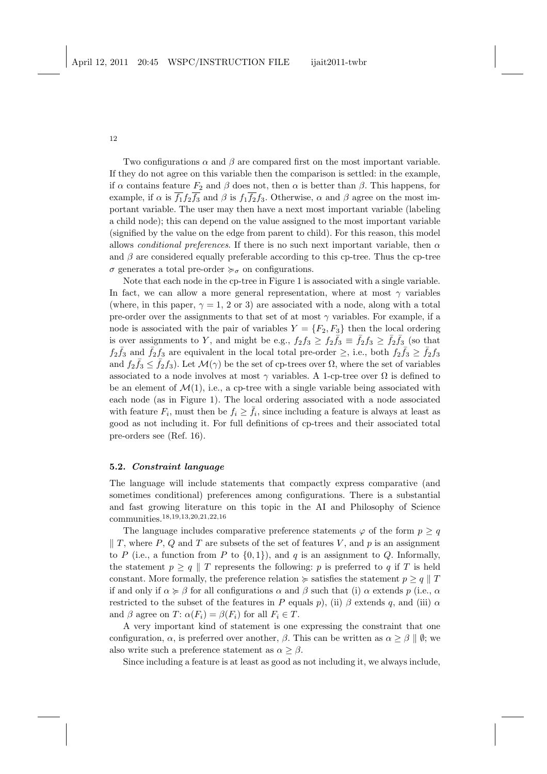Two configurations  $\alpha$  and  $\beta$  are compared first on the most important variable. If they do not agree on this variable then the comparison is settled: in the example, if  $\alpha$  contains feature  $F_2$  and  $\beta$  does not, then  $\alpha$  is better than  $\beta$ . This happens, for example, if  $\alpha$  is  $\overline{f_1}f_2\overline{f_3}$  and  $\beta$  is  $f_1\overline{f_2}f_3$ . Otherwise,  $\alpha$  and  $\beta$  agree on the most important variable. The user may then have a next most important variable (labeling a child node); this can depend on the value assigned to the most important variable (signified by the value on the edge from parent to child). For this reason, this model allows *conditional preferences*. If there is no such next important variable, then  $\alpha$ and  $\beta$  are considered equally preferable according to this cp-tree. Thus the cp-tree σ generates a total pre-order  $\succcurlyeq_{\sigma}$  on configurations.

Note that each node in the cp-tree in Figure 1 is associated with a single variable. In fact, we can allow a more general representation, where at most  $\gamma$  variables (where, in this paper,  $\gamma = 1$ , 2 or 3) are associated with a node, along with a total pre-order over the assignments to that set of at most  $\gamma$  variables. For example, if a node is associated with the pair of variables  $Y = \{F_2, F_3\}$  then the local ordering is over assignments to Y, and might be e.g.,  $f_2 f_3 \ge f_2 \overline{f}_3 \equiv \overline{f}_2 f_3 \ge \overline{f}_2 \overline{f}_3$  (so that  $f_2\bar{f}_3$  and  $\bar{f}_2f_3$  are equivalent in the local total pre-order  $\geq$ , i.e., both  $f_2\bar{f}_3 \geq \bar{f}_2f_3$ and  $f_2 \bar{f}_3 \leq \bar{f}_2 f_3$ ). Let  $\mathcal{M}(\gamma)$  be the set of cp-trees over  $\Omega$ , where the set of variables associated to a node involves at most  $\gamma$  variables. A 1-cp-tree over  $\Omega$  is defined to be an element of  $\mathcal{M}(1)$ , i.e., a cp-tree with a single variable being associated with each node (as in Figure 1). The local ordering associated with a node associated with feature  $F_i$ , must then be  $f_i \geq \bar{f}_i$ , since including a feature is always at least as good as not including it. For full definitions of cp-trees and their associated total pre-orders see (Ref. 16).

### 5.2. Constraint language

The language will include statements that compactly express comparative (and sometimes conditional) preferences among configurations. There is a substantial and fast growing literature on this topic in the AI and Philosophy of Science communities.<sup>18</sup>,19,13,20,21,22,<sup>16</sup>

The language includes comparative preference statements  $\varphi$  of the form  $p \geq q$  $\parallel T$ , where P, Q and T are subsets of the set of features V, and p is an assignment to P (i.e., a function from P to  $\{0,1\}$ ), and q is an assignment to Q. Informally, the statement  $p \ge q \parallel T$  represents the following: p is preferred to q if T is held constant. More formally, the preference relation  $\succeq$  satisfies the statement  $p \geq q \parallel T$ if and only if  $\alpha \geq \beta$  for all configurations  $\alpha$  and  $\beta$  such that (i)  $\alpha$  extends p (i.e.,  $\alpha$ restricted to the subset of the features in P equals p), (ii) β extends q, and (iii)  $\alpha$ and  $\beta$  agree on T:  $\alpha(F_i) = \beta(F_i)$  for all  $F_i \in T$ .

A very important kind of statement is one expressing the constraint that one configuration,  $\alpha$ , is preferred over another,  $\beta$ . This can be written as  $\alpha \geq \beta \parallel \emptyset$ ; we also write such a preference statement as  $\alpha > \beta$ .

Since including a feature is at least as good as not including it, we always include,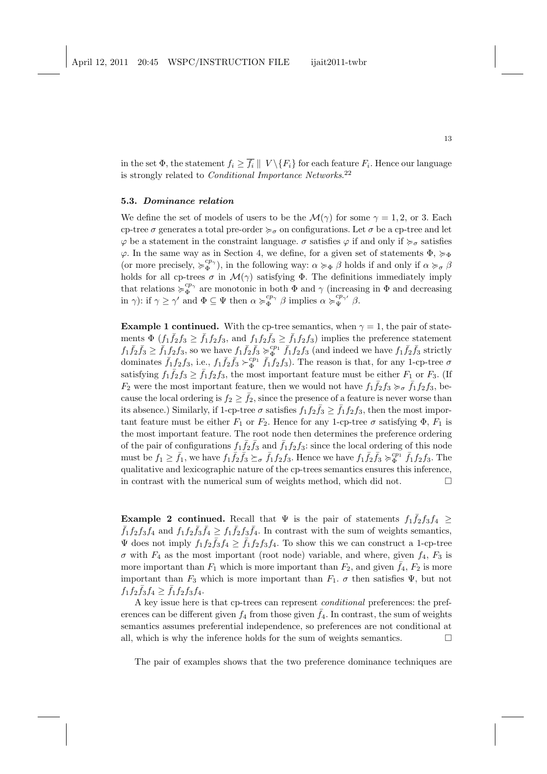in the set  $\Phi$ , the statement  $f_i \geq \overline{f_i} \parallel V \setminus \{F_i\}$  for each feature  $F_i$ . Hence our language is strongly related to *Conditional Importance Networks*.<sup>22</sup>

#### 5.3. Dominance relation

We define the set of models of users to be the  $\mathcal{M}(\gamma)$  for some  $\gamma = 1, 2,$  or 3. Each cp-tree  $\sigma$  generates a total pre-order  $\succcurlyeq_{\sigma}$  on configurations. Let  $\sigma$  be a cp-tree and let  $\varphi$  be a statement in the constraint language.  $\sigma$  satisfies  $\varphi$  if and only if  $\succcurlyeq_{\sigma}$  satisfies  $\varphi$ . In the same way as in Section 4, we define, for a given set of statements  $\Phi$ ,  $\succcurlyeq_{\Phi}$ (or more precisely,  $\succcurlyeq_{\Phi}^{cp_{\gamma}}$ ), in the following way:  $\alpha \succcurlyeq_{\Phi} \beta$  holds if and only if  $\alpha \succcurlyeq_{\sigma} \beta$ holds for all cp-trees  $\sigma$  in  $\mathcal{M}(\gamma)$  satisfying  $\Phi$ . The definitions immediately imply that relations  $\succcurlyeq_{\Phi}^{cp_{\gamma}}$  are monotonic in both  $\Phi$  and  $\gamma$  (increasing in  $\Phi$  and decreasing in  $\gamma$ ): if  $\gamma \geq \gamma'$  and  $\Phi \subseteq \Psi$  then  $\alpha \succcurlyeq_{\Phi}^{cp_{\gamma'}} \beta$  implies  $\alpha \succcurlyeq_{\Psi}^{cp_{\gamma'}} \beta$ .

**Example 1 continued.** With the cp-tree semantics, when  $\gamma = 1$ , the pair of statements  $\Phi$  ( $f_1 \bar{f}_2 f_3 \ge \bar{f}_1 f_2 f_3$ , and  $f_1 f_2 \bar{f}_3 \ge \bar{f}_1 f_2 f_3$ ) implies the preference statement  $f_1 \bar{f}_2 \bar{f}_3 \geq \bar{f}_1 f_2 f_3$ , so we have  $f_1 \bar{f}_2 \bar{f}_3 \succcurlyeq_{\Phi}^{cp_1} \bar{f}_1 f_2 f_3$  (and indeed we have  $f_1 \bar{f}_2 \bar{f}_3$  strictly dominates  $\bar{f}_1 f_2 f_3$ , i.e.,  $f_1 \bar{f}_2 \bar{f}_3 \succ_{\Phi}^{c p_1} \bar{f}_1 f_2 f_3$ ). The reason is that, for any 1-cp-tree  $\sigma$ satisfying  $f_1 \bar{f}_2 f_3 \geq \bar{f}_1 f_2 f_3$ , the most important feature must be either  $F_1$  or  $F_3$ . (If  $F_2$  were the most important feature, then we would not have  $f_1 \bar{f}_2 f_3 \succcurlyeq_{\sigma} \bar{f}_1 f_2 f_3$ , because the local ordering is  $f_2 \geq \bar{f}_2$ , since the presence of a feature is never worse than its absence.) Similarly, if 1-cp-tree  $\sigma$  satisfies  $f_1 f_2 \overline{f}_3 \geq \overline{f}_1 f_2 f_3$ , then the most important feature must be either  $F_1$  or  $F_2$ . Hence for any 1-cp-tree  $\sigma$  satisfying  $\Phi$ ,  $F_1$  is the most important feature. The root node then determines the preference ordering of the pair of configurations  $f_1 \bar{f}_2 \bar{f}_3$  and  $\bar{f}_1 f_2 f_3$ : since the local ordering of this node must be  $f_1 \ge \bar{f}_1$ , we have  $f_1 \bar{f}_2 \bar{f}_3 \succeq_{\sigma} \bar{f}_1 f_2 f_3$ . Hence we have  $f_1 \bar{f}_2 \bar{f}_3 \succ^{cp_1}_{\Phi} \bar{f}_1 f_2 f_3$ . The qualitative and lexicographic nature of the cp-trees semantics ensures this inference, in contrast with the numerical sum of weights method, which did not.  $\Box$ 

**Example 2 continued.** Recall that  $\Psi$  is the pair of statements  $f_1 \bar{f}_2 f_3 f_4 \geq$  $\bar{f}_1 f_2 f_3 f_4$  and  $f_1 f_2 \bar{f}_3 \bar{f}_4 \geq f_1 \bar{f}_2 f_3 \bar{f}_4$ . In contrast with the sum of weights semantics,  $\Psi$  does not imply  $f_1 f_2 \bar{f}_3 f_4 \geq \bar{f}_1 f_2 f_3 f_4$ . To show this we can construct a 1-cp-tree  $\sigma$  with  $F_4$  as the most important (root node) variable, and where, given  $f_4$ ,  $F_3$  is more important than  $F_1$  which is more important than  $F_2$ , and given  $\bar{f}_4$ ,  $F_2$  is more important than  $F_3$  which is more important than  $F_1$ .  $\sigma$  then satisfies  $\Psi$ , but not  $f_1 f_2 \bar{f}_3 f_4 \geq \bar{f}_1 f_2 f_3 f_4.$ 

A key issue here is that cp-trees can represent conditional preferences: the preferences can be different given  $f_4$  from those given  $\bar{f}_4$ . In contrast, the sum of weights semantics assumes preferential independence, so preferences are not conditional at all, which is why the inference holds for the sum of weights semantics.  $\Box$ 

The pair of examples shows that the two preference dominance techniques are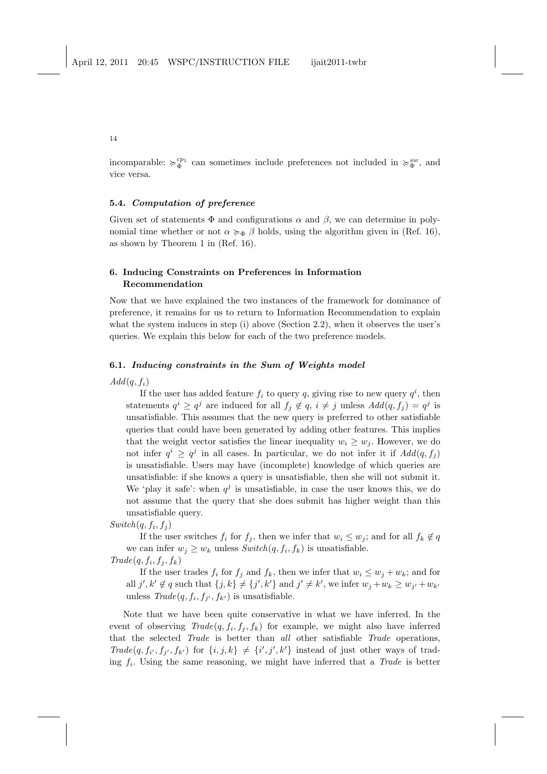incomparable:  $\succcurlyeq_{\Phi}^{cp_1}$  can sometimes include preferences not included in  $\succcurlyeq_{\Phi}^{sw}$ , and vice versa.

### 5.4. Computation of preference

Given set of statements  $\Phi$  and configurations  $\alpha$  and  $\beta$ , we can determine in polynomial time whether or not  $\alpha \succcurlyeq_{\Phi} \beta$  holds, using the algorithm given in (Ref. 16), as shown by Theorem 1 in (Ref. 16).

## 6. Inducing Constraints on Preferences in Information Recommendation

Now that we have explained the two instances of the framework for dominance of preference, it remains for us to return to Information Recommendation to explain what the system induces in step (i) above (Section 2.2), when it observes the user's queries. We explain this below for each of the two preference models.

### 6.1. Inducing constraints in the Sum of Weights model

 $Add(a, f_i)$ 

If the user has added feature  $f_i$  to query q, giving rise to new query  $q^i$ , then statements  $q^i \ge q^j$  are induced for all  $f_j \notin q$ ,  $i \ne j$  unless  $Add(q, f_j) = q^j$  is unsatisfiable. This assumes that the new query is preferred to other satisfiable queries that could have been generated by adding other features. This implies that the weight vector satisfies the linear inequality  $w_i \geq w_j$ . However, we do not infer  $q^i \ge q^j$  in all cases. In particular, we do not infer it if  $Add(q, f_j)$ is unsatisfiable. Users may have (incomplete) knowledge of which queries are unsatisfiable: if she knows a query is unsatisfiable, then she will not submit it. We 'play it safe': when  $q^j$  is unsatisfiable, in case the user knows this, we do not assume that the query that she does submit has higher weight than this unsatisfiable query.

 $Switch(q, f_i, f_j)$ 

If the user switches  $f_i$  for  $f_j$ , then we infer that  $w_i \leq w_j$ ; and for all  $f_k \notin q$ we can infer  $w_j \geq w_k$  unless  $Switch(q, f_i, f_k)$  is unsatisfiable.

# $Trade(q, f_i, f_j, f_k)$

If the user trades  $f_i$  for  $f_j$  and  $f_k$ , then we infer that  $w_i \leq w_j + w_k$ ; and for all  $j', k' \notin q$  such that  $\{j, k\} \neq \{j', k'\}$  and  $j' \neq k'$ , we infer  $w_j + w_k \geq w_{j'} + w_{k'}$ unless  $Trade(q, f_i, f_{j'}, f_{k'})$  is unsatisfiable.

Note that we have been quite conservative in what we have inferred. In the event of observing  $Trade(q, f_i, f_j, f_k)$  for example, we might also have inferred that the selected Trade is better than all other satisfiable Trade operations,  $Trade(q, f_{i'}, f_{j'}, f_{k'})$  for  $\{i, j, k\} \neq \{i', j', k'\}$  instead of just other ways of trading  $f_i$ . Using the same reasoning, we might have inferred that a Trade is better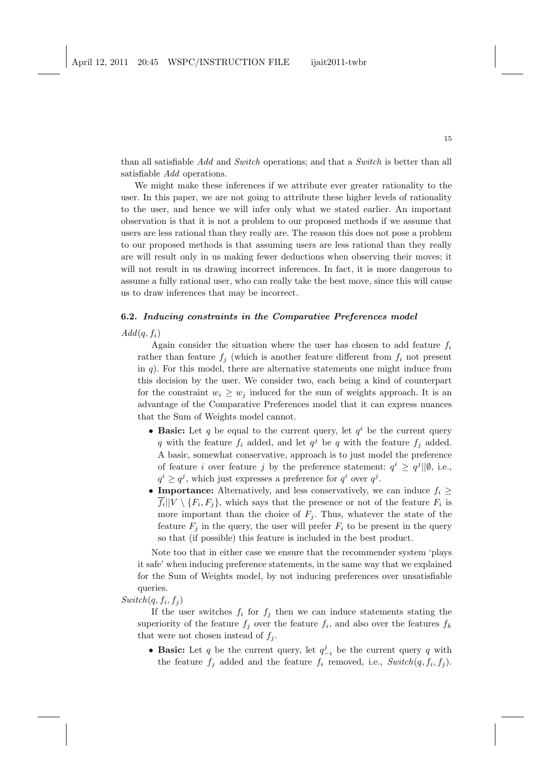than all satisfiable Add and Switch operations; and that a Switch is better than all satisfiable Add operations.

We might make these inferences if we attribute ever greater rationality to the user. In this paper, we are not going to attribute these higher levels of rationality to the user, and hence we will infer only what we stated earlier. An important observation is that it is not a problem to our proposed methods if we assume that users are less rational than they really are. The reason this does not pose a problem to our proposed methods is that assuming users are less rational than they really are will result only in us making fewer deductions when observing their moves; it will not result in us drawing incorrect inferences. In fact, it is more dangerous to assume a fully rational user, who can really take the best move, since this will cause us to draw inferences that may be incorrect.

### 6.2. Inducing constraints in the Comparative Preferences model

# $Add(q, f_i)$

Again consider the situation where the user has chosen to add feature  $f_i$ rather than feature  $f_i$  (which is another feature different from  $f_i$  not present in  $q$ ). For this model, there are alternative statements one might induce from this decision by the user. We consider two, each being a kind of counterpart for the constraint  $w_i \geq w_j$  induced for the sum of weights approach. It is an advantage of the Comparative Preferences model that it can express nuances that the Sum of Weights model cannot.

- Basic: Let q be equal to the current query, let  $q^i$  be the current query q with the feature  $f_i$  added, and let  $q^j$  be q with the feature  $f_j$  added. A basic, somewhat conservative, approach is to just model the preference of feature *i* over feature *j* by the preference statement:  $q^i \ge q^j || \emptyset$ , i.e.,  $q^{i} \geq q^{j}$ , which just expresses a preference for  $q^{i}$  over  $q^{j}$ .
- Importance: Alternatively, and less conservatively, we can induce  $f_i \geq$  $\overline{f_i}$ ||V \  $\{F_i, F_j\}$ , which says that the presence or not of the feature  $F_i$  is more important than the choice of  $F_i$ . Thus, whatever the state of the feature  $F_j$  in the query, the user will prefer  $F_i$  to be present in the query so that (if possible) this feature is included in the best product.

Note too that in either case we ensure that the recommender system 'plays it safe' when inducing preference statements, in the same way that we explained for the Sum of Weights model, by not inducing preferences over unsatisfiable queries.

 $Switch(q, f_i, f_j)$ 

If the user switches  $f_i$  for  $f_j$  then we can induce statements stating the superiority of the feature  $f_j$  over the feature  $f_i$ , and also over the features  $f_k$ that were not chosen instead of  $f_j$ .

• Basic: Let q be the current query, let  $q_{-i}^j$  be the current query q with the feature  $f_j$  added and the feature  $f_i$  removed, i.e.,  $Switch(q, f_i, f_j)$ .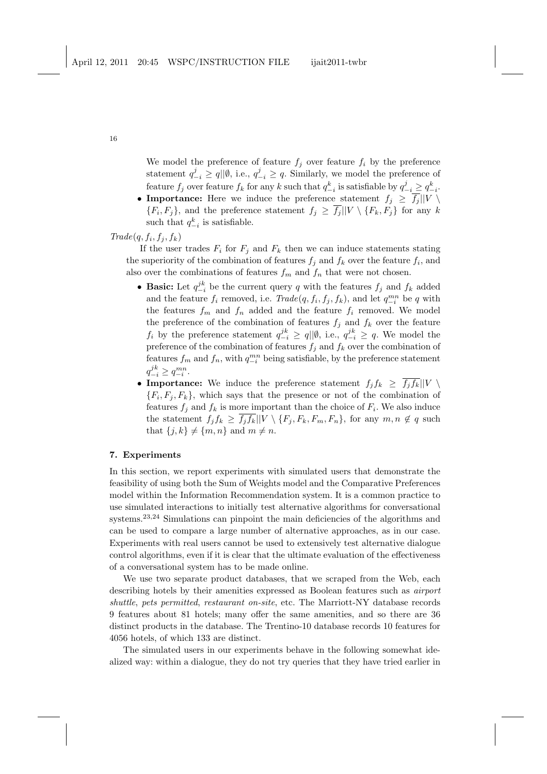We model the preference of feature  $f_i$  over feature  $f_i$  by the preference statement  $q_{-i}^j \ge q || \emptyset$ , i.e.,  $q_{-i}^j \ge q$ . Similarly, we model the preference of feature  $f_j$  over feature  $f_k$  for any k such that  $q_{-i}^k$  is satisfiable by  $q_{-i}^j \ge q_{-i}^k$ .

• Importance: Here we induce the preference statement  $f_i \geq \overline{f_i} ||V \setminus \overline{f_j} ||V \setminus \overline{f_j} ||V \setminus \overline{f_j} ||V \setminus \overline{f_j} ||V \setminus \overline{f_j} ||V \setminus \overline{f_j} ||V \setminus \overline{f_j} ||V \setminus \overline{f_j} ||V \setminus \overline{f_j} ||V \setminus \overline{f_j} ||V \setminus \overline{f_j} ||V \setminus \overline{f_j} ||V \setminus \overline{f$  ${F_i, F_j}$ , and the preference statement  $f_j \geq \overline{f_j} || V \setminus {F_k, F_j}$  for any k such that  $q_{-i}^k$  is satisfiable.

# $Trade(q, f_i, f_j, f_k)$

If the user trades  $F_i$  for  $F_j$  and  $F_k$  then we can induce statements stating the superiority of the combination of features  $f_j$  and  $f_k$  over the feature  $f_i$ , and also over the combinations of features  $f_m$  and  $f_n$  that were not chosen.

- Basic: Let  $q_{-i}^{jk}$  be the current query q with the features  $f_j$  and  $f_k$  added and the feature  $f_i$  removed, i.e.  $Trade(q, f_i, f_j, f_k)$ , and let  $q_{-i}^{mn}$  be q with the features  $f_m$  and  $f_n$  added and the feature  $f_i$  removed. We model the preference of the combination of features  $f_i$  and  $f_k$  over the feature  $f_i$  by the preference statement  $q_{-i}^{jk} \ge q ||\emptyset|$ , i.e.,  $q_{-i}^{jk} \ge q$ . We model the preference of the combination of features  $f_i$  and  $f_k$  over the combination of features  $f_m$  and  $f_n$ , with  $q_{-i}^{mn}$  being satisfiable, by the preference statement  $q_{-i}^{jk} \geq q_{-i}^{mn}$ .
- Importance: We induce the preference statement  $f_i f_k \geq \overline{f_i f_k}$ ||V  ${F_i, F_j, F_k}$ , which says that the presence or not of the combination of features  $f_j$  and  $f_k$  is more important than the choice of  $F_i$ . We also induce the statement  $f_j f_k \geq \overline{f_j f_k} || V \setminus \{F_j, F_k, F_m, F_n\}$ , for any  $m, n \notin q$  such that  $\{j, k\} \neq \{m, n\}$  and  $m \neq n$ .

### 7. Experiments

In this section, we report experiments with simulated users that demonstrate the feasibility of using both the Sum of Weights model and the Comparative Preferences model within the Information Recommendation system. It is a common practice to use simulated interactions to initially test alternative algorithms for conversational systems.<sup>23,24</sup> Simulations can pinpoint the main deficiencies of the algorithms and can be used to compare a large number of alternative approaches, as in our case. Experiments with real users cannot be used to extensively test alternative dialogue control algorithms, even if it is clear that the ultimate evaluation of the effectiveness of a conversational system has to be made online.

We use two separate product databases, that we scraped from the Web, each describing hotels by their amenities expressed as Boolean features such as airport shuttle, pets permitted, restaurant on-site, etc. The Marriott-NY database records 9 features about 81 hotels; many offer the same amenities, and so there are 36 distinct products in the database. The Trentino-10 database records 10 features for 4056 hotels, of which 133 are distinct.

The simulated users in our experiments behave in the following somewhat idealized way: within a dialogue, they do not try queries that they have tried earlier in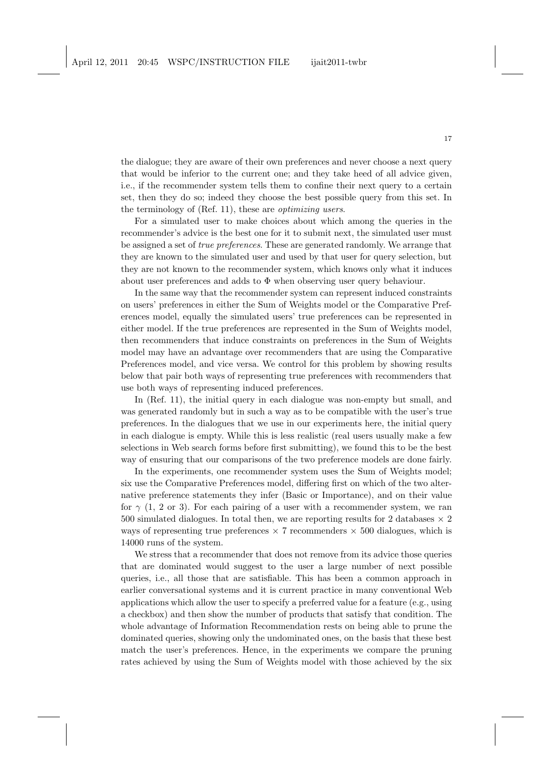the dialogue; they are aware of their own preferences and never choose a next query that would be inferior to the current one; and they take heed of all advice given, i.e., if the recommender system tells them to confine their next query to a certain set, then they do so; indeed they choose the best possible query from this set. In the terminology of (Ref. 11), these are optimizing users.

For a simulated user to make choices about which among the queries in the recommender's advice is the best one for it to submit next, the simulated user must be assigned a set of true preferences. These are generated randomly. We arrange that they are known to the simulated user and used by that user for query selection, but they are not known to the recommender system, which knows only what it induces about user preferences and adds to  $\Phi$  when observing user query behaviour.

In the same way that the recommender system can represent induced constraints on users' preferences in either the Sum of Weights model or the Comparative Preferences model, equally the simulated users' true preferences can be represented in either model. If the true preferences are represented in the Sum of Weights model, then recommenders that induce constraints on preferences in the Sum of Weights model may have an advantage over recommenders that are using the Comparative Preferences model, and vice versa. We control for this problem by showing results below that pair both ways of representing true preferences with recommenders that use both ways of representing induced preferences.

In (Ref. 11), the initial query in each dialogue was non-empty but small, and was generated randomly but in such a way as to be compatible with the user's true preferences. In the dialogues that we use in our experiments here, the initial query in each dialogue is empty. While this is less realistic (real users usually make a few selections in Web search forms before first submitting), we found this to be the best way of ensuring that our comparisons of the two preference models are done fairly.

In the experiments, one recommender system uses the Sum of Weights model; six use the Comparative Preferences model, differing first on which of the two alternative preference statements they infer (Basic or Importance), and on their value for  $\gamma$  (1, 2 or 3). For each pairing of a user with a recommender system, we ran 500 simulated dialogues. In total then, we are reporting results for 2 databases  $\times$  2 ways of representing true preferences  $\times$  7 recommenders  $\times$  500 dialogues, which is 14000 runs of the system.

We stress that a recommender that does not remove from its advice those queries that are dominated would suggest to the user a large number of next possible queries, i.e., all those that are satisfiable. This has been a common approach in earlier conversational systems and it is current practice in many conventional Web applications which allow the user to specify a preferred value for a feature (e.g., using a checkbox) and then show the number of products that satisfy that condition. The whole advantage of Information Recommendation rests on being able to prune the dominated queries, showing only the undominated ones, on the basis that these best match the user's preferences. Hence, in the experiments we compare the pruning rates achieved by using the Sum of Weights model with those achieved by the six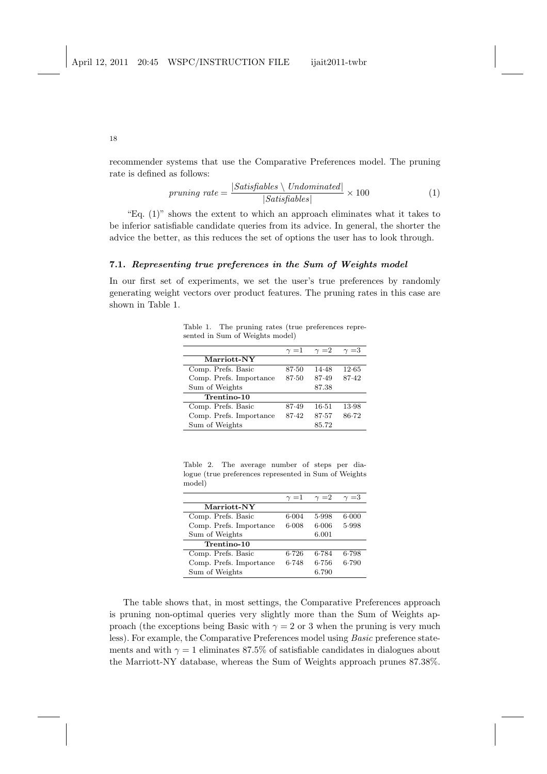recommender systems that use the Comparative Preferences model. The pruning rate is defined as follows:

$$
pruning\ rate = \frac{|Satisfiable \setminus Undominated|}{|Satisfiable|} \times 100\tag{1}
$$

"Eq.  $(1)$ " shows the extent to which an approach eliminates what it takes to be inferior satisfiable candidate queries from its advice. In general, the shorter the advice the better, as this reduces the set of options the user has to look through.

### 7.1. Representing true preferences in the Sum of Weights model

In our first set of experiments, we set the user's true preferences by randomly generating weight vectors over product features. The pruning rates in this case are shown in Table 1.

| Table 1. The pruning rates (true preferences repre- |  |  |
|-----------------------------------------------------|--|--|
| sented in Sum of Weights model)                     |  |  |

|                         | $\gamma = 1$ | $\gamma = 2$ | $\gamma = 3$ |
|-------------------------|--------------|--------------|--------------|
| Marriott-NY             |              |              |              |
| Comp. Prefs. Basic      | 87.50        | 14.48        | 12.65        |
| Comp. Prefs. Importance | 87.50        | 87.49        | 87.42        |
| Sum of Weights          |              | 87.38        |              |
| Trentino-10             |              |              |              |
| Comp. Prefs. Basic      | 87.49        | 16.51        | 13.98        |
| Comp. Prefs. Importance | 87.42        | 87.57        | $86 - 72$    |
| Sum of Weights          |              | 85.72        |              |

Table 2. The average number of steps per dialogue (true preferences represented in Sum of Weights model)

|                         | $\gamma = 1$ | $\gamma = 2$ | $\gamma = 3$ |
|-------------------------|--------------|--------------|--------------|
| Marriott-NY             |              |              |              |
| Comp. Prefs. Basic      | 6.004        | 5.998        | 6.000        |
| Comp. Prefs. Importance | $6 - 008$    | 6.006        | 5.998        |
| Sum of Weights          |              | 6.001        |              |
| Trentino-10             |              |              |              |
| Comp. Prefs. Basic      | 6.726        | 6.784        | 6.798        |
| Comp. Prefs. Importance | 6.748        | 6.756        | 6.790        |
| Sum of Weights          |              | 6.790        |              |

The table shows that, in most settings, the Comparative Preferences approach is pruning non-optimal queries very slightly more than the Sum of Weights approach (the exceptions being Basic with  $\gamma = 2$  or 3 when the pruning is very much less). For example, the Comparative Preferences model using Basic preference statements and with  $\gamma = 1$  eliminates 87.5% of satisfiable candidates in dialogues about the Marriott-NY database, whereas the Sum of Weights approach prunes 87.38%.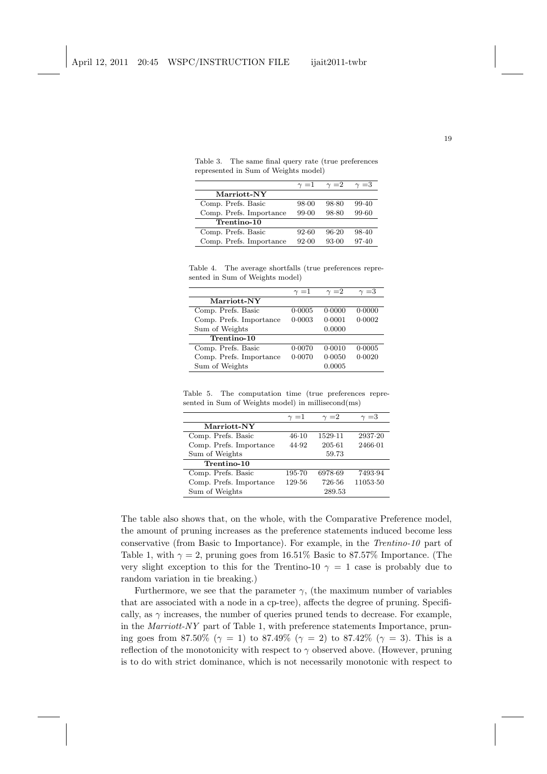|                         | $\gamma=1$ | $\gamma = 2$ | $\gamma = 3$ |
|-------------------------|------------|--------------|--------------|
| Marriott-NY             |            |              |              |
| Comp. Prefs. Basic      | 98.00      | 98.80        | 99.40        |
| Comp. Prefs. Importance | 99.00      | 98.80        | 99.60        |
| Trentino-10             |            |              |              |
| Comp. Prefs. Basic      | 92.60      | 96.20        | 98.40        |
| Comp. Prefs. Importance | 92.00      | 93.00        | 97.40        |

Table 3. The same final query rate (true preferences represented in Sum of Weights model)

|                                 |  |  | Table 4. The average shortfalls (true preferences repre- |  |
|---------------------------------|--|--|----------------------------------------------------------|--|
| sented in Sum of Weights model) |  |  |                                                          |  |

|                         | $\gamma = 1$ | $\gamma = 2$ | $\gamma = 3$ |
|-------------------------|--------------|--------------|--------------|
| Marriott-NY             |              |              |              |
| Comp. Prefs. Basic      | 0.0005       | 0.0000       | 0.0000       |
| Comp. Prefs. Importance | 0.0003       | 0.0001       | 0.0002       |
| Sum of Weights          |              | 0.0000       |              |
| Trentino-10             |              |              |              |
| Comp. Prefs. Basic      | 0.0070       | 0.0010       | 0.0005       |
| Comp. Prefs. Importance | 0.0070       | 0.0050       | 0.0020       |
| Sum of Weights          |              | 0.0005       |              |

|  | Table 5. The computation time (true preferences repre- |  |  |
|--|--------------------------------------------------------|--|--|
|  | sented in Sum of Weights model) in millisecond(ms)     |  |  |

|                         | $\gamma = 1$ | $\gamma = 2$ | $\gamma = 3$ |
|-------------------------|--------------|--------------|--------------|
| Marriott-NY             |              |              |              |
| Comp. Prefs. Basic      | 46.10        | 1529.11      | 2937.20      |
| Comp. Prefs. Importance | 44.92        | 205.61       | 2466.01      |
| Sum of Weights          |              | 59.73        |              |
| Trentino-10             |              |              |              |
| Comp. Prefs. Basic      | 195.70       | 6978.69      | 7493.94      |
| Comp. Prefs. Importance | 129.56       | 726.56       | 11053.50     |
| Sum of Weights          |              | 289.53       |              |

The table also shows that, on the whole, with the Comparative Preference model, the amount of pruning increases as the preference statements induced become less conservative (from Basic to Importance). For example, in the Trentino-10 part of Table 1, with  $\gamma = 2$ , pruning goes from 16.51% Basic to 87.57% Importance. (The very slight exception to this for the Trentino-10  $\gamma = 1$  case is probably due to random variation in tie breaking.)

Furthermore, we see that the parameter  $\gamma$ , (the maximum number of variables that are associated with a node in a cp-tree), affects the degree of pruning. Specifically, as  $\gamma$  increases, the number of queries pruned tends to decrease. For example, in the Marriott-NY part of Table 1, with preference statements Importance, pruning goes from 87.50% ( $\gamma = 1$ ) to 87.49% ( $\gamma = 2$ ) to 87.42% ( $\gamma = 3$ ). This is a reflection of the monotonicity with respect to  $\gamma$  observed above. (However, pruning is to do with strict dominance, which is not necessarily monotonic with respect to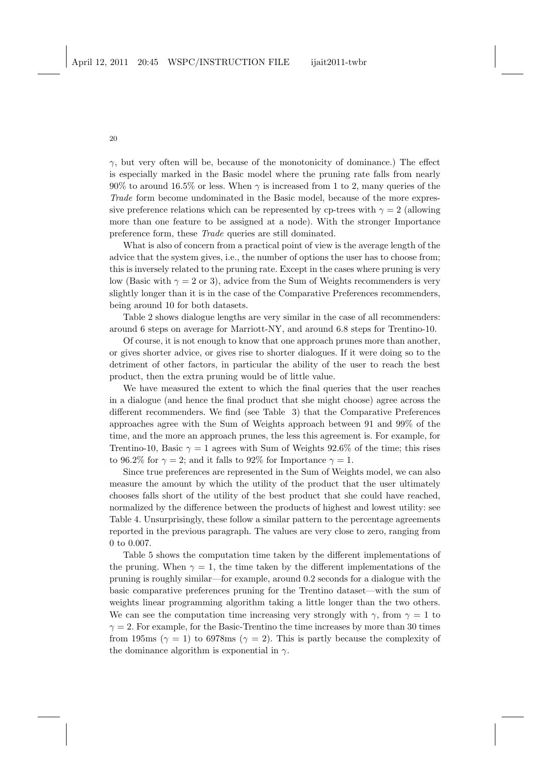$\gamma$ , but very often will be, because of the monotonicity of dominance.) The effect is especially marked in the Basic model where the pruning rate falls from nearly 90% to around 16.5% or less. When  $\gamma$  is increased from 1 to 2, many queries of the Trade form become undominated in the Basic model, because of the more expressive preference relations which can be represented by cp-trees with  $\gamma = 2$  (allowing more than one feature to be assigned at a node). With the stronger Importance preference form, these Trade queries are still dominated.

What is also of concern from a practical point of view is the average length of the advice that the system gives, i.e., the number of options the user has to choose from; this is inversely related to the pruning rate. Except in the cases where pruning is very low (Basic with  $\gamma = 2$  or 3), advice from the Sum of Weights recommenders is very slightly longer than it is in the case of the Comparative Preferences recommenders, being around 10 for both datasets.

Table 2 shows dialogue lengths are very similar in the case of all recommenders: around 6 steps on average for Marriott-NY, and around 6.8 steps for Trentino-10.

Of course, it is not enough to know that one approach prunes more than another, or gives shorter advice, or gives rise to shorter dialogues. If it were doing so to the detriment of other factors, in particular the ability of the user to reach the best product, then the extra pruning would be of little value.

We have measured the extent to which the final queries that the user reaches in a dialogue (and hence the final product that she might choose) agree across the different recommenders. We find (see Table 3) that the Comparative Preferences approaches agree with the Sum of Weights approach between 91 and 99% of the time, and the more an approach prunes, the less this agreement is. For example, for Trentino-10, Basic  $\gamma = 1$  agrees with Sum of Weights 92.6% of the time; this rises to 96.2% for  $\gamma = 2$ ; and it falls to 92% for Importance  $\gamma = 1$ .

Since true preferences are represented in the Sum of Weights model, we can also measure the amount by which the utility of the product that the user ultimately chooses falls short of the utility of the best product that she could have reached, normalized by the difference between the products of highest and lowest utility: see Table 4. Unsurprisingly, these follow a similar pattern to the percentage agreements reported in the previous paragraph. The values are very close to zero, ranging from 0 to 0.007.

Table 5 shows the computation time taken by the different implementations of the pruning. When  $\gamma = 1$ , the time taken by the different implementations of the pruning is roughly similar—for example, around 0.2 seconds for a dialogue with the basic comparative preferences pruning for the Trentino dataset—with the sum of weights linear programming algorithm taking a little longer than the two others. We can see the computation time increasing very strongly with  $\gamma$ , from  $\gamma = 1$  to  $\gamma = 2$ . For example, for the Basic-Trentino the time increases by more than 30 times from 195ms ( $\gamma = 1$ ) to 6978ms ( $\gamma = 2$ ). This is partly because the complexity of the dominance algorithm is exponential in  $\gamma$ .

20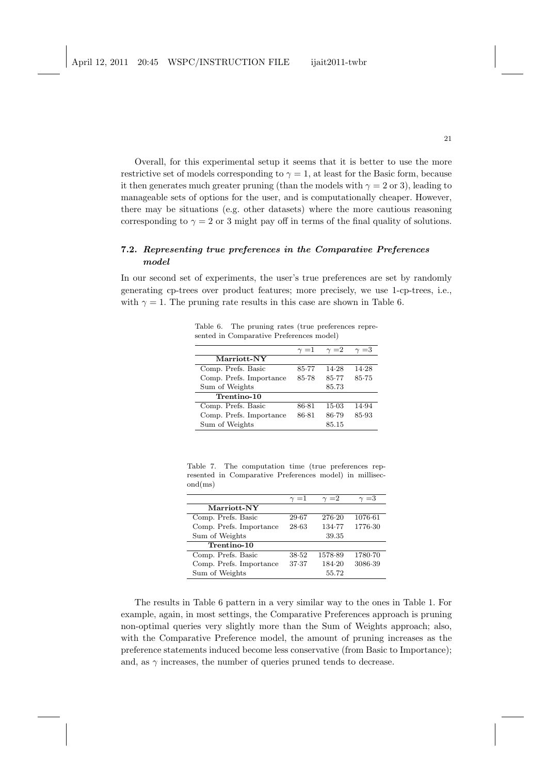Overall, for this experimental setup it seems that it is better to use the more restrictive set of models corresponding to  $\gamma = 1$ , at least for the Basic form, because it then generates much greater pruning (than the models with  $\gamma = 2$  or 3), leading to manageable sets of options for the user, and is computationally cheaper. However, there may be situations (e.g. other datasets) where the more cautious reasoning corresponding to  $\gamma = 2$  or 3 might pay off in terms of the final quality of solutions.

# 7.2. Representing true preferences in the Comparative Preferences model

In our second set of experiments, the user's true preferences are set by randomly generating cp-trees over product features; more precisely, we use 1-cp-trees, i.e., with  $\gamma = 1$ . The pruning rate results in this case are shown in Table 6.

Table 6. The pruning rates (true preferences represented in Comparative Preferences model)

|                         | $\gamma = 1$ | $\gamma = 2$ | $\gamma = 3$ |
|-------------------------|--------------|--------------|--------------|
| Marriott-NY             |              |              |              |
| Comp. Prefs. Basic      | 85.77        | 14.28        | 14.28        |
| Comp. Prefs. Importance | $85 - 78$    | 85.77        | $85 - 75$    |
| Sum of Weights          |              | 85.73        |              |
| Trentino-10             |              |              |              |
| Comp. Prefs. Basic      | 86.81        | $15-03$      | 14.94        |
| Comp. Prefs. Importance | 86.81        | 86.79        | 85.93        |
| Sum of Weights          |              | 85.15        |              |

Table 7. The computation time (true preferences represented in Comparative Preferences model) in millisecond(ms)

|                         | $\gamma = 1$ | $\gamma = 2$ | $\gamma = 3$ |
|-------------------------|--------------|--------------|--------------|
| Marriott-NY             |              |              |              |
| Comp. Prefs. Basic      | 29.67        | 276.20       | 1076.61      |
| Comp. Prefs. Importance | 28.63        | 134.77       | 1776.30      |
| Sum of Weights          |              | 39.35        |              |
| Trentino-10             |              |              |              |
| Comp. Prefs. Basic      | 38.52        | 1578.89      | 1780.70      |
| Comp. Prefs. Importance | 37.37        | 184.20       | 3086.39      |
| Sum of Weights          |              | 55.72        |              |

The results in Table 6 pattern in a very similar way to the ones in Table 1. For example, again, in most settings, the Comparative Preferences approach is pruning non-optimal queries very slightly more than the Sum of Weights approach; also, with the Comparative Preference model, the amount of pruning increases as the preference statements induced become less conservative (from Basic to Importance); and, as  $\gamma$  increases, the number of queries pruned tends to decrease.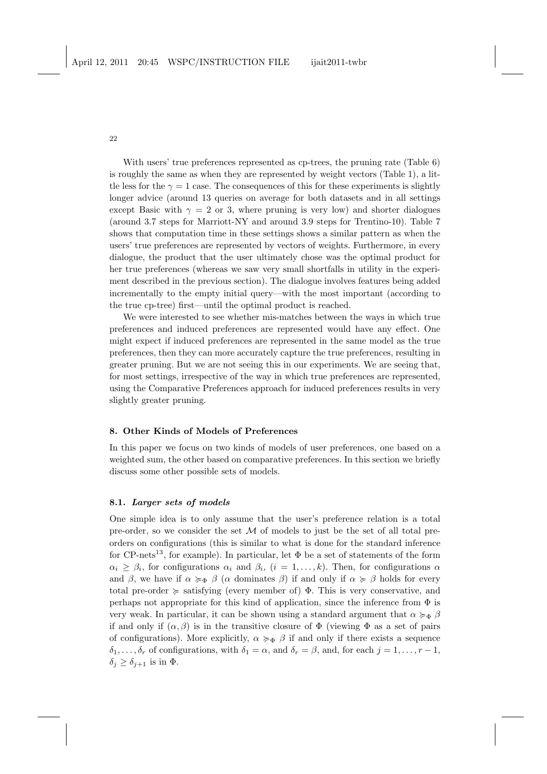With users' true preferences represented as cp-trees, the pruning rate (Table 6) is roughly the same as when they are represented by weight vectors (Table 1), a little less for the  $\gamma = 1$  case. The consequences of this for these experiments is slightly longer advice (around 13 queries on average for both datasets and in all settings except Basic with  $\gamma = 2$  or 3, where pruning is very low) and shorter dialogues (around 3.7 steps for Marriott-NY and around 3.9 steps for Trentino-10). Table 7 shows that computation time in these settings shows a similar pattern as when the users' true preferences are represented by vectors of weights. Furthermore, in every dialogue, the product that the user ultimately chose was the optimal product for her true preferences (whereas we saw very small shortfalls in utility in the experiment described in the previous section). The dialogue involves features being added incrementally to the empty initial query—with the most important (according to the true cp-tree) first—until the optimal product is reached.

We were interested to see whether mis-matches between the ways in which true preferences and induced preferences are represented would have any effect. One might expect if induced preferences are represented in the same model as the true preferences, then they can more accurately capture the true preferences, resulting in greater pruning. But we are not seeing this in our experiments. We are seeing that, for most settings, irrespective of the way in which true preferences are represented, using the Comparative Preferences approach for induced preferences results in very slightly greater pruning.

### 8. Other Kinds of Models of Preferences

In this paper we focus on two kinds of models of user preferences, one based on a weighted sum, the other based on comparative preferences. In this section we briefly discuss some other possible sets of models.

### 8.1. Larger sets of models

One simple idea is to only assume that the user's preference relation is a total pre-order, so we consider the set  $\mathcal M$  of models to just be the set of all total preorders on configurations (this is similar to what is done for the standard inference for CP-nets<sup>13</sup>, for example). In particular, let  $\Phi$  be a set of statements of the form  $\alpha_i \geq \beta_i$ , for configurations  $\alpha_i$  and  $\beta_i$ ,  $(i = 1, \ldots, k)$ . Then, for configurations  $\alpha$ and β, we have if  $\alpha \succcurlyeq_{\Phi} \beta$  ( $\alpha$  dominates β) if and only if  $\alpha \succcurlyeq \beta$  holds for every total pre-order  $\succeq$  satisfying (every member of)  $\Phi$ . This is very conservative, and perhaps not appropriate for this kind of application, since the inference from  $\Phi$  is very weak. In particular, it can be shown using a standard argument that  $\alpha \succcurlyeq_{\Phi} \beta$ if and only if  $(\alpha, \beta)$  is in the transitive closure of  $\Phi$  (viewing  $\Phi$  as a set of pairs of configurations). More explicitly,  $\alpha \succcurlyeq_{\Phi} \beta$  if and only if there exists a sequence  $\delta_1, \ldots, \delta_r$  of configurations, with  $\delta_1 = \alpha$ , and  $\delta_r = \beta$ , and, for each  $j = 1, \ldots, r - 1$ ,  $\delta_j \geq \delta_{j+1}$  is in  $\Phi$ .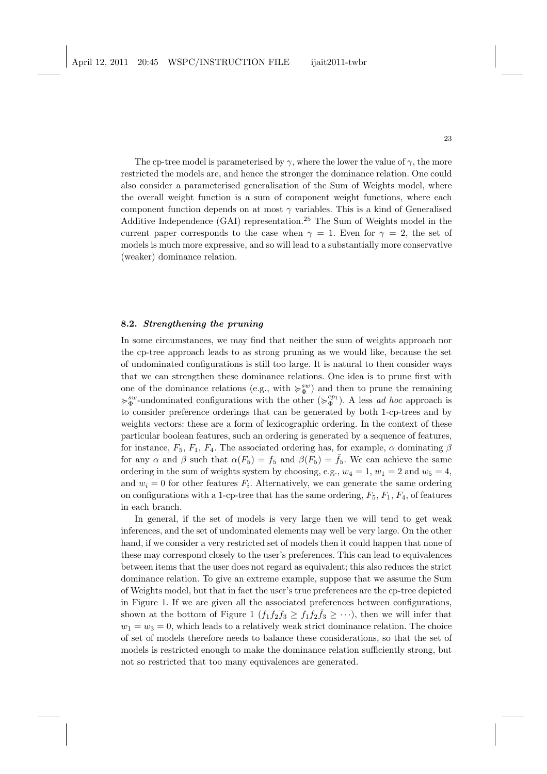The cp-tree model is parameterised by  $\gamma$ , where the lower the value of  $\gamma$ , the more restricted the models are, and hence the stronger the dominance relation. One could also consider a parameterised generalisation of the Sum of Weights model, where the overall weight function is a sum of component weight functions, where each component function depends on at most  $\gamma$  variables. This is a kind of Generalised Additive Independence (GAI) representation.<sup>25</sup> The Sum of Weights model in the current paper corresponds to the case when  $\gamma = 1$ . Even for  $\gamma = 2$ , the set of models is much more expressive, and so will lead to a substantially more conservative (weaker) dominance relation.

### 8.2. Strengthening the pruning

In some circumstances, we may find that neither the sum of weights approach nor the cp-tree approach leads to as strong pruning as we would like, because the set of undominated configurations is still too large. It is natural to then consider ways that we can strengthen these dominance relations. One idea is to prune first with one of the dominance relations (e.g., with  $\succcurlyeq_{\Phi}^{sw}$ ) and then to prune the remaining  $\succcurlyeq_{\Phi}^{sw}$ -undominated configurations with the other  $(\succcurlyeq_{\Phi}^{cp_1})$ . A less ad hoc approach is to consider preference orderings that can be generated by both 1-cp-trees and by weights vectors: these are a form of lexicographic ordering. In the context of these particular boolean features, such an ordering is generated by a sequence of features, for instance,  $F_5$ ,  $F_1$ ,  $F_4$ . The associated ordering has, for example,  $\alpha$  dominating  $\beta$ for any  $\alpha$  and  $\beta$  such that  $\alpha(F_5) = f_5$  and  $\beta(F_5) = \bar{f}_5$ . We can achieve the same ordering in the sum of weights system by choosing, e.g.,  $w_4 = 1$ ,  $w_1 = 2$  and  $w_5 = 4$ , and  $w_i = 0$  for other features  $F_i$ . Alternatively, we can generate the same ordering on configurations with a 1-cp-tree that has the same ordering,  $F_5$ ,  $F_1$ ,  $F_4$ , of features in each branch.

In general, if the set of models is very large then we will tend to get weak inferences, and the set of undominated elements may well be very large. On the other hand, if we consider a very restricted set of models then it could happen that none of these may correspond closely to the user's preferences. This can lead to equivalences between items that the user does not regard as equivalent; this also reduces the strict dominance relation. To give an extreme example, suppose that we assume the Sum of Weights model, but that in fact the user's true preferences are the cp-tree depicted in Figure 1. If we are given all the associated preferences between configurations, shown at the bottom of Figure 1  $(f_1 f_2 f_3 \geq f_1 f_2 f_3 \geq \cdots)$ , then we will infer that  $w_1 = w_3 = 0$ , which leads to a relatively weak strict dominance relation. The choice of set of models therefore needs to balance these considerations, so that the set of models is restricted enough to make the dominance relation sufficiently strong, but not so restricted that too many equivalences are generated.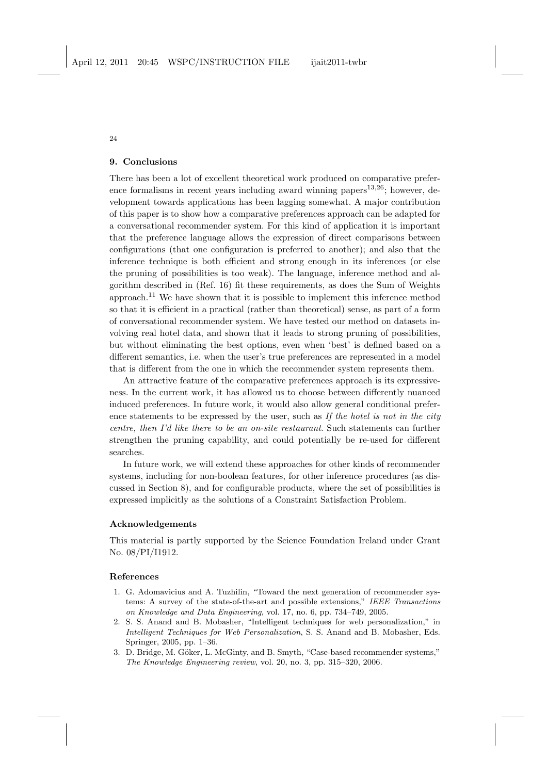#### 9. Conclusions

There has been a lot of excellent theoretical work produced on comparative preference formalisms in recent years including award winning papers $13,26$ ; however, development towards applications has been lagging somewhat. A major contribution of this paper is to show how a comparative preferences approach can be adapted for a conversational recommender system. For this kind of application it is important that the preference language allows the expression of direct comparisons between configurations (that one configuration is preferred to another); and also that the inference technique is both efficient and strong enough in its inferences (or else the pruning of possibilities is too weak). The language, inference method and algorithm described in (Ref. 16) fit these requirements, as does the Sum of Weights approach.<sup>11</sup> We have shown that it is possible to implement this inference method so that it is efficient in a practical (rather than theoretical) sense, as part of a form of conversational recommender system. We have tested our method on datasets involving real hotel data, and shown that it leads to strong pruning of possibilities, but without eliminating the best options, even when 'best' is defined based on a different semantics, i.e. when the user's true preferences are represented in a model that is different from the one in which the recommender system represents them.

An attractive feature of the comparative preferences approach is its expressiveness. In the current work, it has allowed us to choose between differently nuanced induced preferences. In future work, it would also allow general conditional preference statements to be expressed by the user, such as If the hotel is not in the city centre, then I'd like there to be an on-site restaurant. Such statements can further strengthen the pruning capability, and could potentially be re-used for different searches.

In future work, we will extend these approaches for other kinds of recommender systems, including for non-boolean features, for other inference procedures (as discussed in Section 8), and for configurable products, where the set of possibilities is expressed implicitly as the solutions of a Constraint Satisfaction Problem.

### Acknowledgements

This material is partly supported by the Science Foundation Ireland under Grant No. 08/PI/I1912.

### References

- 1. G. Adomavicius and A. Tuzhilin, "Toward the next generation of recommender systems: A survey of the state-of-the-art and possible extensions," IEEE Transactions on Knowledge and Data Engineering, vol. 17, no. 6, pp. 734–749, 2005.
- 2. S. S. Anand and B. Mobasher, "Intelligent techniques for web personalization," in Intelligent Techniques for Web Personalization, S. S. Anand and B. Mobasher, Eds. Springer, 2005, pp. 1–36.
- 3. D. Bridge, M. Göker, L. McGinty, and B. Smyth, "Case-based recommender systems," The Knowledge Engineering review, vol. 20, no. 3, pp. 315–320, 2006.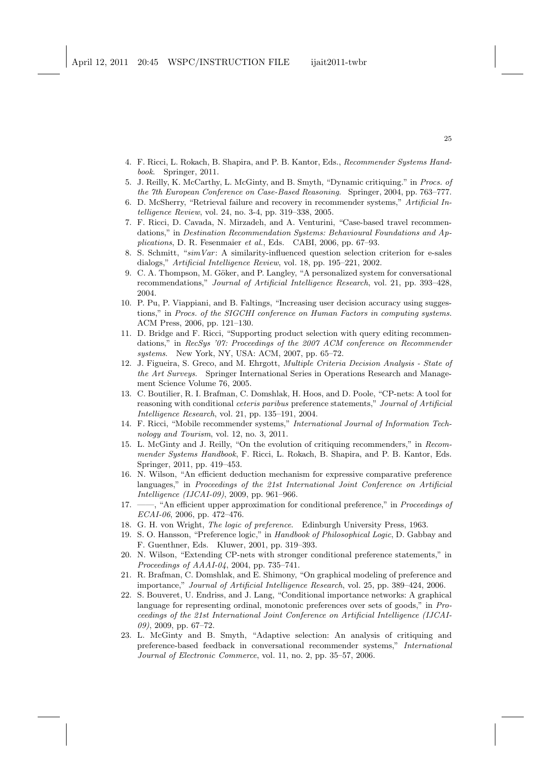- 4. F. Ricci, L. Rokach, B. Shapira, and P. B. Kantor, Eds., Recommender Systems Handbook. Springer, 2011.
- 5. J. Reilly, K. McCarthy, L. McGinty, and B. Smyth, "Dynamic critiquing." in Procs. of the 7th European Conference on Case-Based Reasoning. Springer, 2004, pp. 763–777.
- 6. D. McSherry, "Retrieval failure and recovery in recommender systems," Artificial Intelligence Review, vol. 24, no. 3-4, pp. 319–338, 2005.
- 7. F. Ricci, D. Cavada, N. Mirzadeh, and A. Venturini, "Case-based travel recommendations," in Destination Recommendation Systems: Behavioural Foundations and Applications, D. R. Fesenmaier et al., Eds. CABI, 2006, pp. 67–93.
- S. Schmitt, " $simVar$ : A similarity-influenced question selection criterion for e-sales dialogs," Artificial Intelligence Review, vol. 18, pp. 195–221, 2002.
- 9. C. A. Thompson, M. Göker, and P. Langley, "A personalized system for conversational recommendations," Journal of Artificial Intelligence Research, vol. 21, pp. 393–428, 2004.
- 10. P. Pu, P. Viappiani, and B. Faltings, "Increasing user decision accuracy using suggestions," in Procs. of the SIGCHI conference on Human Factors in computing systems. ACM Press, 2006, pp. 121–130.
- 11. D. Bridge and F. Ricci, "Supporting product selection with query editing recommendations," in RecSys '07: Proceedings of the 2007 ACM conference on Recommender systems. New York, NY, USA: ACM, 2007, pp. 65–72.
- 12. J. Figueira, S. Greco, and M. Ehrgott, Multiple Criteria Decision Analysis State of the Art Surveys. Springer International Series in Operations Research and Management Science Volume 76, 2005.
- 13. C. Boutilier, R. I. Brafman, C. Domshlak, H. Hoos, and D. Poole, "CP-nets: A tool for reasoning with conditional ceteris paribus preference statements," Journal of Artificial Intelligence Research, vol. 21, pp. 135–191, 2004.
- 14. F. Ricci, "Mobile recommender systems," International Journal of Information Technology and Tourism, vol. 12, no. 3, 2011.
- 15. L. McGinty and J. Reilly, "On the evolution of critiquing recommenders," in Recommender Systems Handbook, F. Ricci, L. Rokach, B. Shapira, and P. B. Kantor, Eds. Springer, 2011, pp. 419–453.
- 16. N. Wilson, "An efficient deduction mechanism for expressive comparative preference languages," in Proceedings of the 21st International Joint Conference on Artificial Intelligence (IJCAI-09), 2009, pp. 961–966.
- 17. ——, "An efficient upper approximation for conditional preference," in Proceedings of  $ECAI-06$ , 2006, pp. 472-476.
- 18. G. H. von Wright, The logic of preference. Edinburgh University Press, 1963.
- 19. S. O. Hansson, "Preference logic," in Handbook of Philosophical Logic, D. Gabbay and F. Guenthner, Eds. Kluwer, 2001, pp. 319–393.
- 20. N. Wilson, "Extending CP-nets with stronger conditional preference statements," in Proceedings of AAAI-04, 2004, pp. 735–741.
- 21. R. Brafman, C. Domshlak, and E. Shimony, "On graphical modeling of preference and importance," Journal of Artificial Intelligence Research, vol. 25, pp. 389–424, 2006.
- 22. S. Bouveret, U. Endriss, and J. Lang, "Conditional importance networks: A graphical language for representing ordinal, monotonic preferences over sets of goods," in Proceedings of the 21st International Joint Conference on Artificial Intelligence (IJCAI-09), 2009, pp. 67–72.
- 23. L. McGinty and B. Smyth, "Adaptive selection: An analysis of critiquing and preference-based feedback in conversational recommender systems," International Journal of Electronic Commerce, vol. 11, no. 2, pp. 35–57, 2006.